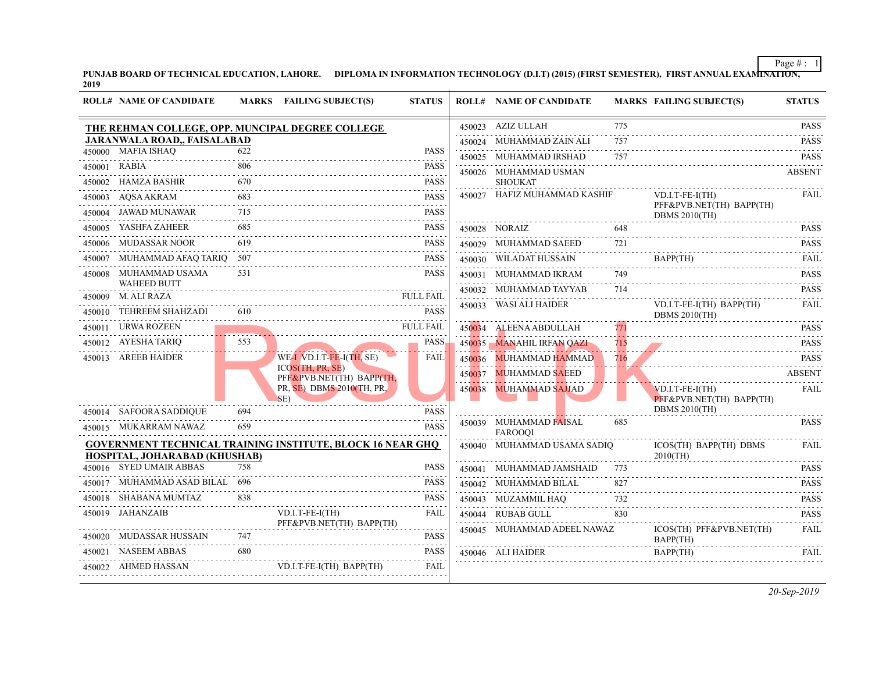|        | <b>ROLL# NAME OF CANDIDATE</b>                   |     | MARKS FAILING SUBJECT(S)                                          | <b>STATUS</b>         |        | <b>ROLL# NAME OF CANDIDATE</b>           | <b>MARKS FAIL</b>     |                            |
|--------|--------------------------------------------------|-----|-------------------------------------------------------------------|-----------------------|--------|------------------------------------------|-----------------------|----------------------------|
|        | THE REHMAN COLLEGE, OPP. MUNCIPAL DEGREE COLLEGE |     |                                                                   |                       |        | 450023 AZIZ ULLAH                        | 775                   |                            |
|        | JARANWALA ROAD,, FAISALABAD                      |     |                                                                   |                       |        | 450024 MUHAMMAD ZAIN ALI                 | 757                   |                            |
|        | 450000 MAFIA ISHAO                               | 622 |                                                                   | <b>PASS</b>           |        | 450025 MUHAMMAD IRSHAD                   | 757                   |                            |
|        | 450001 RABIA                                     | 806 |                                                                   | <b>PASS</b><br>.      |        | 450026 MUHAMMAD USMAN                    |                       |                            |
| 450002 | HAMZA BASHIR                                     | 670 |                                                                   | <b>PASS</b>           |        | <b>SHOUKAT</b>                           |                       |                            |
| 450003 | AQSA AKRAM                                       | 683 |                                                                   | <b>PASS</b>           |        | 450027 HAFIZ MUHAMMAD KASHIF             |                       | VD.I.<br>PFF&              |
| 450004 | JAWAD MUNAWAR                                    | 715 |                                                                   | <b>PASS</b>           |        |                                          |                       | <b>DBM</b>                 |
| 450005 | YASHFA ZAHEER                                    | 685 |                                                                   | PASS                  |        | 450028 NORAIZ                            | 648                   |                            |
|        | 450006 MUDASSAR NOOR                             | 619 |                                                                   | <b>PASS</b>           |        | 450029 MUHAMMAD SAEED                    | 721                   |                            |
| 450007 | MUHAMMAD AFAQ TARIQ 507                          |     |                                                                   | PASS                  |        | 450030 WILADAT HUSSAIN                   |                       | <b>BAPI</b>                |
| 450008 | MUHAMMAD USAMA                                   | 531 |                                                                   | <b>PASS</b>           |        | 450031 MUHAMMAD IKRAM                    | 749                   |                            |
|        | <b>WAHEED BUTT</b>                               |     |                                                                   |                       |        | 450032 MUHAMMAD TAYYAB                   | 714                   |                            |
|        | 450009 M. ALI RAZA                               |     |                                                                   | <b>FULL FAIL</b><br>. |        | 450033 WASI ALI HAIDER                   |                       | VD.I.                      |
| 450010 | TEHREEM SHAHZADI                                 | 610 |                                                                   | <b>PASS</b>           |        |                                          |                       | DBM                        |
|        | 450011 URWA ROZEEN                               |     |                                                                   | <b>FULL FAIL</b>      |        | 450034 ALEENA ABDULLAH                   | 771                   |                            |
|        | 450012 AYESHA TARIQ                              | 553 |                                                                   | PASS                  |        | 450035 MANAHIL IRFAN QAZI                | 715<br><b>College</b> |                            |
|        | 450013 AREEB HAIDER                              |     | WE-I VD.I.T-FE-I(TH, SE)<br>$ICOS$ (TH, PR, SE)                   | <b>FAIL</b>           |        | 450036 MUHAMMAD HAMMAD                   | 716                   |                            |
|        |                                                  |     | PFF&PVB.NET(TH) BAPP(TH,                                          |                       | 450037 | MUHAMMAD SAEED                           |                       |                            |
|        |                                                  |     | PR, SE) DBMS 2010(TH, PR,                                         |                       | 450038 | <b>MUHAMMAD SAJJAD</b>                   |                       | VD.I.                      |
|        | 450014 SAFOORA SADDIQUE                          | 694 | SE)                                                               | <b>PASS</b>           |        |                                          |                       | PFF&<br><b>DBM</b>         |
|        | 450015 MUKARRAM NAWAZ                            | 659 |                                                                   | <b>PASS</b>           |        | 450039 MUHAMMAD FAISAL<br><b>FAROOOI</b> | 685                   |                            |
|        |                                                  |     | <b>GOVERNMENT TECHNICAL TRAINING INSTITUTE, BLOCK 16 NEAR GHO</b> |                       |        | 450040 MUHAMMAD USAMA SADIQ              |                       | <b>ICOS</b>                |
|        | HOSPITAL, JOHARABAD (KHUSHAB)                    |     |                                                                   |                       |        |                                          |                       | 20100                      |
|        | 450016 SYED UMAIR ABBAS                          | 758 |                                                                   | PASS                  |        | 450041 MUHAMMAD JAMSHAID                 | 773                   |                            |
|        | 450017 MUHAMMAD ASAD BILAL 696                   |     |                                                                   | <b>PASS</b>           |        | 450042 MUHAMMAD BILAL                    | 827                   |                            |
| 450018 | SHABANA MUMTAZ                                   | 838 |                                                                   | PASS                  |        | 450043 MUZAMMIL HAQ                      | 732                   |                            |
|        | 450019 JAHANZAIB                                 |     | VD.I.T-FE-I(TH)<br>PFF&PVB.NET(TH) BAPP(TH)                       | FAIL                  |        | 450044 RUBAB GULL                        | 830                   |                            |
|        | 450020 MUDASSAR HUSSAIN                          | 747 |                                                                   | PASS                  |        | 450045 MUHAMMAD ADEEL NAWAZ              |                       | <b>ICOS</b><br><b>BAPI</b> |
|        | 450021 NASEEM ABBAS                              | 680 |                                                                   | PASS                  |        | 450046 ALI HAIDER                        |                       | <b>BAPI</b>                |
|        | 450022 AHMED HASSAN                              |     | VD.I.T-FE-I(TH) BAPP(TH)                                          | FAIL                  |        |                                          |                       |                            |
|        |                                                  |     |                                                                   |                       |        |                                          |                       |                            |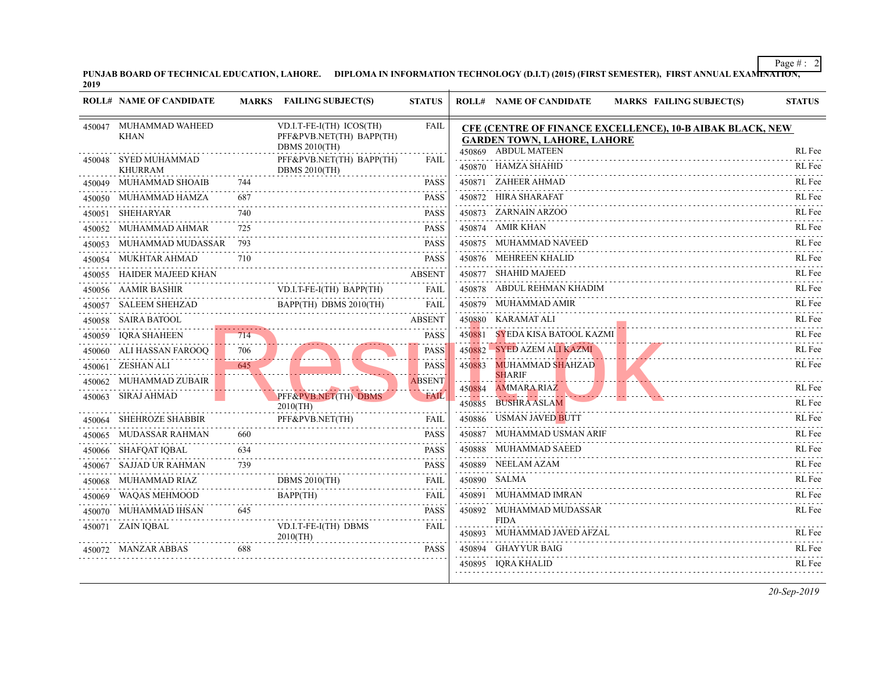**PUNJAB BOARD OF TECHNICAL EDUCATION, LAHORE.** DIPLOMA IN INFORMATION TECHNOLOGY (D.I.T) (2015) (FIRST SEMESTER), FI<br>2019

|        | <b>ROLL# NAME OF CANDIDATE</b>         | <b>MARKS</b> | <b>FAILING SUBJECT(S)</b>                                                    | <b>STATUS</b> |        | <b>ROLL# NAME OF CANDIDATE</b>                                                                            | <b>MARKS FAIL</b> |
|--------|----------------------------------------|--------------|------------------------------------------------------------------------------|---------------|--------|-----------------------------------------------------------------------------------------------------------|-------------------|
| 450047 | MUHAMMAD WAHEED<br><b>KHAN</b>         |              | VD.I.T-FE-I(TH) ICOS(TH)<br>PFF&PVB.NET(TH) BAPP(TH)<br><b>DBMS 2010(TH)</b> | FAIL<br>.     |        | <b>CFE (CENTRE OF FINANCE EXCELLENCE), 1</b><br><b>GARDEN TOWN, LAHORE, LAHORE</b><br>450869 ABDUL MATEEN |                   |
|        | 450048 SYED MUHAMMAD<br><b>KHURRAM</b> |              | PFF&PVB.NET(TH) BAPP(TH)<br><b>DBMS 2010(TH)</b>                             | <b>FAIL</b>   |        | 450870 HAMZA SHAHID                                                                                       |                   |
|        | 450049 MUHAMMAD SHOAIB                 | 744          |                                                                              | <b>PASS</b>   |        | 450871 ZAHEER AHMAD                                                                                       |                   |
|        | 450050 MUHAMMAD HAMZA                  | 687          |                                                                              | <b>PASS</b>   |        | 450872 HIRA SHARAFAT                                                                                      |                   |
|        | 450051 SHEHARYAR                       | 740          |                                                                              | PASS          |        | 450873 ZARNAIN ARZOO                                                                                      |                   |
|        | 450052 MUHAMMAD AHMAR                  | 725          |                                                                              | <b>PASS</b>   |        | 450874 AMIR KHAN                                                                                          |                   |
| 450053 | MUHAMMAD MUDASSAR                      | 793          |                                                                              | <b>PASS</b>   |        | 450875 MUHAMMAD NAVEED                                                                                    |                   |
| 450054 | MUKHTAR AHMAD                          | 710          |                                                                              | <b>PASS</b>   |        | 450876 MEHREEN KHALID                                                                                     |                   |
| 450055 | HAIDER MAJEED KHAN                     |              |                                                                              | <b>ABSENT</b> |        | 450877 SHAHID MAJEED                                                                                      |                   |
|        | 450056 AAMIR BASHIR                    |              | VD.I.T-FE-I(TH) BAPP(TH)                                                     | FAIL          |        | 450878 ABDUL REHMAN KHADIM                                                                                |                   |
| 450057 | SALEEM SHEHZAD                         |              | BAPP(TH) DBMS 2010(TH)                                                       | FAIL          |        | 450879 MUHAMMAD AMIR                                                                                      |                   |
|        | 450058 SAIRA BATOOL                    |              |                                                                              | <b>ABSENT</b> |        | 450880 KARAMAT ALI                                                                                        |                   |
|        | 450059 IQRA SHAHEEN                    | 714          |                                                                              | PASS          | 450881 | <b>SYEDA KISA BATOOL KAZMI</b>                                                                            |                   |
|        | 450060 ALI HASSAN FAROOQ               | .<br>706     |                                                                              | <b>PASS</b>   |        | 450882 SYED AZEM ALI KAZMI                                                                                |                   |
|        | 450061 ZESHAN ALI                      | 645          |                                                                              | <b>PASS</b>   | 450883 | <b>MUHAMMAD SHAHZAD</b>                                                                                   |                   |
|        | 450062 MUHAMMAD ZUBAIR                 |              |                                                                              | <b>ABSENT</b> | 450884 | <b>SHARIF</b><br><b>AMMARA RIAZ</b>                                                                       |                   |
|        | 450063 SIRAJ AHMAD                     |              | PFF&PVB.NET(TH) DBMS<br>$2010$ (TH)                                          | <b>FAIL</b>   | 450885 | <b>BUSHRA ASLAM</b>                                                                                       |                   |
| 450064 | SHEHROZE SHABBIR                       |              | PFF&PVB.NET(TH)                                                              | <b>FAIL</b>   |        | 450886 USMAN JAVED BUTT                                                                                   |                   |
| 450065 | MUDASSAR RAHMAN                        | 660          |                                                                              | <b>PASS</b>   | 450887 | MUHAMMAD USMAN ARIF                                                                                       |                   |
|        | 450066 SHAFQAT IQBAL                   | 634          |                                                                              | <b>PASS</b>   |        | 450888 MUHAMMAD SAEED                                                                                     |                   |
|        | 450067 SAJJAD UR RAHMAN                | 739          |                                                                              | <b>PASS</b>   |        | 450889 NEELAM AZAM                                                                                        |                   |
| 450068 | MUHAMMAD RIAZ                          |              | <b>DBMS 2010(TH)</b>                                                         | <b>FAIL</b>   |        | 450890 SALMA                                                                                              |                   |
|        | 450069 WAQAS MEHMOOD                   |              | BAPP(TH)                                                                     | <b>FAIL</b>   |        | 450891 MUHAMMAD IMRAN                                                                                     |                   |
|        | 450070 MUHAMMAD IHSAN                  | 645          |                                                                              | <b>PASS</b>   |        | 450892 MUHAMMAD MUDASSAR                                                                                  |                   |
|        | 450071 ZAIN IQBAL                      |              | VD.I.T-FE-I(TH) DBMS<br>2010(TH)                                             | <b>FAIL</b>   |        | <b>FIDA</b><br>450893 MUHAMMAD JAVED AFZAL                                                                |                   |
|        | 450072 MANZAR ABBAS                    | 688          |                                                                              | <b>PASS</b>   |        | 450894 GHAYYUR BAIG                                                                                       |                   |
|        |                                        |              |                                                                              |               |        | 450895 IQRA KHALID                                                                                        |                   |
|        |                                        |              |                                                                              |               |        |                                                                                                           |                   |

 $\perp$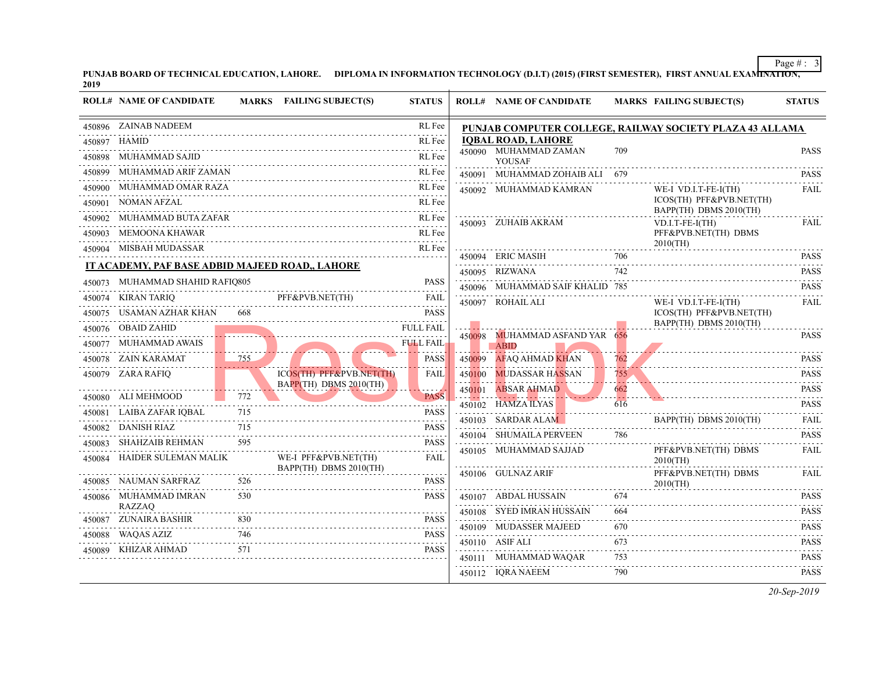|        | 450896 ZAINAB NADEEM                            |     |                          | RL Fee                                                                                                                                                              |        | PUNJAB COMPUTER COLLEGE, RAILWAY SO    |                                    |                            |
|--------|-------------------------------------------------|-----|--------------------------|---------------------------------------------------------------------------------------------------------------------------------------------------------------------|--------|----------------------------------------|------------------------------------|----------------------------|
|        | 450897 HAMID                                    |     |                          | RL Fee                                                                                                                                                              |        | <b>IOBAL ROAD, LAHORE</b>              |                                    |                            |
|        | 450898 MUHAMMAD SAJID                           |     |                          | RL Fee                                                                                                                                                              |        | 450090 MUHAMMAD ZAMAN<br>YOUSAF        | 709                                |                            |
| 450899 | MUHAMMAD ARIF ZAMAN                             |     |                          | RL Fee                                                                                                                                                              | 450091 | MUHAMMAD ZOHAIB ALI                    | 679                                |                            |
| 450900 | MUHAMMAD OMAR RAZA                              |     |                          | RL Fee                                                                                                                                                              |        | 450092 MUHAMMAD KAMRAN                 |                                    | WE-I                       |
| 450901 | NOMAN AFZAL                                     |     |                          | RL Fee<br>.                                                                                                                                                         |        |                                        |                                    | <b>ICOS</b><br><b>BAPI</b> |
| 450902 | MUHAMMAD BUTA ZAFAR                             |     |                          | RL Fee<br>$-1 - 1 - 1 - 1$                                                                                                                                          |        | 450093 ZUHAIB AKRAM                    |                                    | VD.I.                      |
| 450903 | MEMOONA KHAWAR                                  |     |                          | RL Fee                                                                                                                                                              |        |                                        |                                    | PFF&                       |
|        | 450904 MISBAH MUDASSAR                          |     |                          | RL Fee                                                                                                                                                              |        | 450094 ERIC MASIH                      | 706                                | 2010(                      |
|        | IT ACADEMY, PAF BASE ADBID MAJEED ROAD,, LAHORE |     |                          |                                                                                                                                                                     |        | 450095 RIZWANA                         | 742                                |                            |
| 450073 | MUHAMMAD SHAHID RAFIQ805                        |     |                          | <b>PASS</b>                                                                                                                                                         |        | 450096 MUHAMMAD SAIF KHALID 785        |                                    |                            |
|        | 450074 KIRAN TARIQ                              |     | PFF&PVB.NET(TH)          | <b>FAIL</b>                                                                                                                                                         |        | 450097 ROHAIL ALI                      |                                    | WE-I                       |
|        | 450075 USAMAN AZHAR KHAN                        | 668 |                          | .<br><b>PASS</b>                                                                                                                                                    |        |                                        |                                    | <b>ICOS</b>                |
|        | 450076 OBAID ZAHID                              |     |                          | <b>FULL FAIL</b>                                                                                                                                                    |        |                                        |                                    | <b>BAPI</b>                |
| 450077 | MUHAMMAD AWAIS                                  |     |                          | <b>FULL FAIL</b>                                                                                                                                                    | 450098 | MUHAMMAD ASFAND YAR 656<br><b>ABID</b> |                                    |                            |
|        | 450078 ZAIN KARAMAT                             | 755 |                          | <b>PASS</b>                                                                                                                                                         | 450099 | AFAQ AHMAD KHAN                        | 762                                |                            |
|        | 450079 ZARA RAFIQ                               |     | ICOS(TH) PFF&PVB.NET(TH) | FAIL                                                                                                                                                                | 450100 | <b>MUDASSAR HASSAN</b>                 | 755.<br>.                          |                            |
|        | 450080 ALI MEHMOOD                              | 772 | BAPP(TH) DBMS 2010(TH)   | <b>PASS</b>                                                                                                                                                         | 450101 | ABSAR <del>AH</del> MAD                | 662                                |                            |
| 450081 | LAIBA ZAFAR IQBAL                               | 715 |                          | 2 2 2 2 -<br><b>PASS</b>                                                                                                                                            |        | 450102 HAMZA ILYAS                     | 616                                |                            |
| 450082 | DANISH RIAZ                                     | 715 |                          | .<br><b>PASS</b>                                                                                                                                                    |        | 450103 SARDAR ALAM                     |                                    | <b>BAPI</b>                |
| 450083 | SHAHZAIB REHMAN                                 | 595 |                          | .<br><b>PASS</b>                                                                                                                                                    |        | 450104 SHUMAILA PERVEEN                | 786                                |                            |
| 450084 | HAIDER SULEMAN MALIK                            |     | WE-I PFF&PVB.NET(TH)     | $\frac{1}{2} \left( \frac{1}{2} \right) \left( \frac{1}{2} \right) \left( \frac{1}{2} \right) \left( \frac{1}{2} \right) \left( \frac{1}{2} \right)$<br><b>FAIL</b> |        | 450105 MUHAMMAD SAJJAD                 |                                    | PFF&<br>20100              |
|        |                                                 |     | BAPP(TH) DBMS 2010(TH)   |                                                                                                                                                                     |        | 450106 GULNAZ ARIF                     |                                    | PFF&                       |
|        | 450085 NAUMAN SARFRAZ                           | 526 |                          | <b>PASS</b>                                                                                                                                                         |        |                                        |                                    | 20100                      |
| 450086 | MUHAMMAD IMRAN<br><b>RAZZAO</b>                 | 530 |                          | <b>PASS</b>                                                                                                                                                         |        | 450107 ABDAL HUSSAIN                   | 674                                |                            |
| 450087 | ZUNAIRA BASHIR                                  | 830 |                          | <b>PASS</b>                                                                                                                                                         |        | 450108 SYED IMRAN HUSSAIN              | 664<br>$\sim$ $\sim$ $\sim$ $\sim$ |                            |
| 450088 | WAQAS AZIZ                                      | 746 |                          | <b>PASS</b>                                                                                                                                                         |        | 450109 MUDASSER MAJEED                 | 670                                |                            |
| 450089 | KHIZAR AHMAD                                    | 571 |                          | <b>PASS</b>                                                                                                                                                         |        | 450110 ASIF ALI                        | 673<br>.                           |                            |
|        |                                                 |     |                          |                                                                                                                                                                     | 450111 | MUHAMMAD WAQAR                         | 753                                |                            |
|        |                                                 |     |                          |                                                                                                                                                                     |        | 450112 IQRA NAEEM                      | 790                                |                            |

**PUNJAB BOARD OF TECHNI[CAL EDUCATION, LAHORE. DIPLOMA IN INFORMATION TECHNOLOGY \(D.I.T\) \(2015\) \(FIRST SEMESTER\),](http://www.result.pk/) FIRST ANNUAL EXAMINATION, 2019**

**ROLL# NAME OF CANDIDATE MARKS FAILING SUBJECT(S) STATUS ROLL# NAME OF CANDIDATE MARKS FAILING SUBJECT(S) STATUS**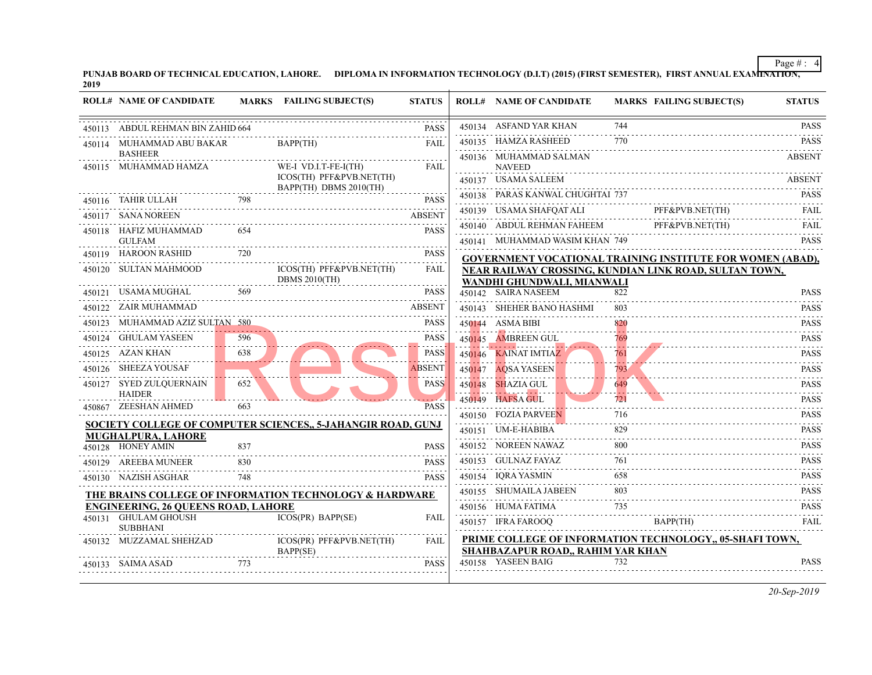| PUNJAB BOARD OF TECHNICAL EDUCATION, LAHORE. | DIPLOMA IN INFORMATION TECHNOLOGY (D.I.T) (2015) (FIRST SEMESTER), |
|----------------------------------------------|--------------------------------------------------------------------|
| 2019                                         |                                                                    |

|        | <b>ROLL# NAME OF CANDIDATE</b>                                     | <b>MARKS</b> | <b>FAILING SUBJECT(S)</b>                                          | <b>STATUS</b> | <b>ROLL# NAME OF CANDIDATE</b>                                          | <b>MARKS FAIL</b> |             |
|--------|--------------------------------------------------------------------|--------------|--------------------------------------------------------------------|---------------|-------------------------------------------------------------------------|-------------------|-------------|
| 450113 | ABDUL REHMAN BIN ZAHID 664                                         |              |                                                                    | <b>PASS</b>   | 450134 ASFAND YAR KHAN                                                  | 744               |             |
| 450114 | MUHAMMAD ABU BAKAR                                                 |              | BAPP(TH)                                                           | FAIL          | 450135 HAMZA RASHEED                                                    | 770               |             |
|        | <b>BASHEER</b><br>450115 MUHAMMAD HAMZA                            |              | WE-I VD.I.T-FE-I(TH)                                               | <b>FAIL</b>   | 450136 MUHAMMAD SALMAN<br><b>NAVEED</b>                                 |                   |             |
|        |                                                                    |              | ICOS(TH) PFF&PVB.NET(TH)                                           |               | 450137 USAMA SALEEM                                                     |                   |             |
|        | 450116 TAHIR ULLAH                                                 | 798          | BAPP(TH) DBMS 2010(TH)                                             | PASS          | 450138 PARAS KANWAL CHUGHTAI 737                                        |                   |             |
|        | 450117 SANA NOREEN                                                 |              |                                                                    | ABSENT        | 450139 USAMA SHAFQAT ALI                                                |                   | PFF&        |
|        | 450118 HAFIZ MUHAMMAD                                              | 654          |                                                                    | <b>PASS</b>   | 450140 ABDUL REHMAN FAHEEM                                              |                   | PFF&        |
|        | <b>GULFAM</b>                                                      |              |                                                                    |               | 450141 MUHAMMAD WASIM KHAN 749                                          |                   |             |
|        | 450119 HAROON RASHID                                               | 720          |                                                                    | <b>PASS</b>   | <b>GOVERNMENT VOCATIONAL TRAINING INS</b>                               |                   |             |
|        | 450120 SULTAN MAHMOOD                                              |              | ICOS(TH) PFF&PVB.NET(TH)<br><b>DBMS 2010(TH)</b>                   | <b>FAIL</b>   | NEAR RAILWAY CROSSING, KUNDIAN LINK                                     |                   |             |
|        | 450121 USAMA MUGHAL                                                | 569          |                                                                    | <b>PASS</b>   | WANDHI GHUNDWALI, MIANWALI<br>450142 SAIRA NASEEM                       | 822               |             |
|        | 450122 ZAIR MUHAMMAD                                               |              |                                                                    | <b>ABSENT</b> | 450143 SHEHER BANO HASHMI                                               | 803               |             |
| 450123 | MUHAMMAD AZIZ SULTAN 580                                           |              |                                                                    | <b>PASS</b>   | 450144 ASMA BIBI                                                        | 820               |             |
|        | 450124 GHULAM YASEEN                                               | 596          |                                                                    | <b>PASS</b>   | 450145 AMBREEN GUL                                                      | 769               |             |
|        | 450125 AZAN KHAN                                                   | 638          |                                                                    | PASS          | 450146 KAINAT IMTIAZ                                                    | 761               |             |
|        | 450126 SHEEZA YOUSAF                                               |              |                                                                    | <b>ABSENT</b> | 450147 AQSA YASEEN                                                      | 793               |             |
|        | 450127 SYED ZULQUERNAIN<br><b>HAIDER</b>                           | 652          |                                                                    | <b>PASS</b>   | 450148 SHAZIA GUL                                                       | 649<br>والمستواء  |             |
|        | 450867 ZEESHAN AHMED                                               | 663          |                                                                    | <b>PASS</b>   | 450149 HAFSA GUL                                                        | 721               |             |
|        |                                                                    |              | <b>SOCIETY COLLEGE OF COMPUTER SCIENCES, 5-JAHANGIR ROAD, GUNJ</b> |               | 450150 FOZIA PARVEEN                                                    | 716               |             |
|        | <b>MUGHALPURA, LAHORE</b>                                          |              |                                                                    |               | 450151 UM-E-HABIBA                                                      | 829               |             |
|        | 450128 HONEY AMIN                                                  | 837          |                                                                    | <b>PASS</b>   | 450152 NOREEN NAWAZ                                                     | 800               |             |
|        | 450129 AREEBA MUNEER                                               | 830          |                                                                    | <b>PASS</b>   | 450153 GULNAZ FAYAZ                                                     | 761               |             |
|        | 450130 NAZISH ASGHAR                                               | 748          |                                                                    | <b>PASS</b>   | 450154 IQRA YASMIN                                                      | 658               |             |
|        |                                                                    |              | THE BRAINS COLLEGE OF INFORMATION TECHNOLOGY & HARDWARE            |               | 450155 SHUMAILA JABEEN                                                  | 803               |             |
|        | <b>ENGINEERING, 26 QUEENS ROAD, LAHORE</b><br>450131 GHULAM GHOUSH |              | ICOS(PR) BAPP(SE)                                                  | <b>FAIL</b>   | 450156 HUMA FATIMA                                                      | 735               |             |
|        | <b>SUBBHANI</b>                                                    |              |                                                                    |               | 450157 IFRA FAROOO                                                      |                   | <b>BAPI</b> |
|        | 450132 MUZZAMAL SHEHZAD                                            |              | ICOS(PR) PFF&PVB.NET(TH)<br>BAPP(SE)                               | FAIL          | PRIME COLLEGE OF INFORMATION TECHN<br>SHAHBAZAPUR ROAD,, RAHIM YAR KHAN |                   |             |
|        | 450133 SAIMA ASAD                                                  | 773          |                                                                    | <b>PASS</b>   | 450158 YASEEN BAIG                                                      | 732               |             |
|        |                                                                    |              |                                                                    |               |                                                                         |                   |             |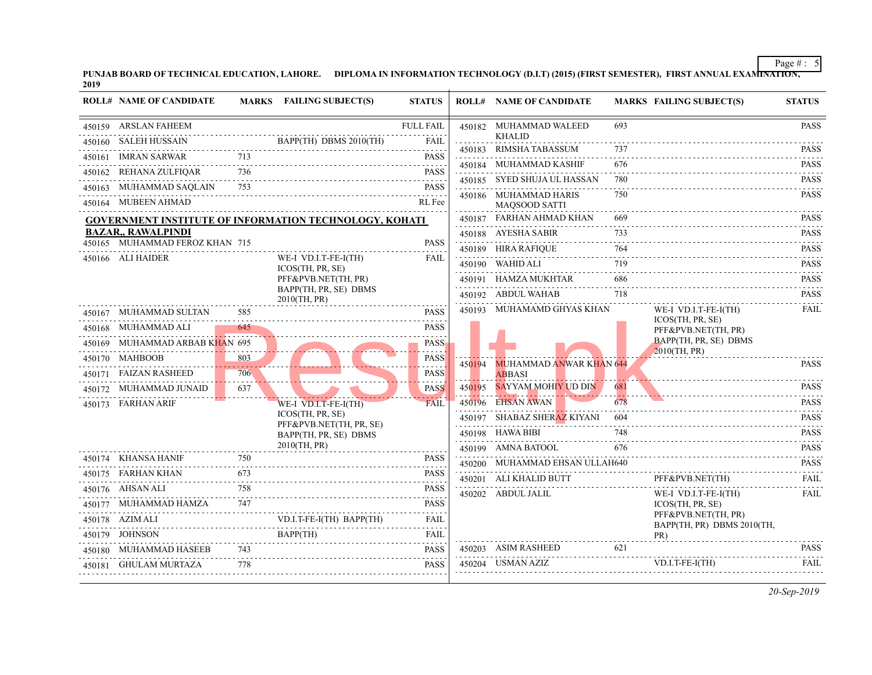| 450159 | ARSLAN FAHEEM                  |     |                                                               | <b>FULL FAIL</b>                                                                                                                                                             |        | 450182 MUHAMMAD WALEED<br><b>KHALID</b>         | 693 |                     |
|--------|--------------------------------|-----|---------------------------------------------------------------|------------------------------------------------------------------------------------------------------------------------------------------------------------------------------|--------|-------------------------------------------------|-----|---------------------|
|        | 450160 SALEH HUSSAIN           |     | BAPP(TH) DBMS 2010(TH)                                        | <b>FAIL</b>                                                                                                                                                                  |        | 450183 RIMSHA TABASSUM                          | 737 |                     |
|        | 450161 IMRAN SARWAR            | 713 |                                                               | <b>PASS</b><br>.                                                                                                                                                             |        | 450184 MUHAMMAD KASHIF                          | 676 |                     |
| 450162 | REHANA ZULFIQAR                | 736 |                                                               | <b>PASS</b><br>$\mathcal{L}^{\mathcal{A}}\left( \mathcal{L}^{\mathcal{A}}\right) \mathcal{L}^{\mathcal{A}}\left( \mathcal{L}^{\mathcal{A}}\right) \mathcal{L}^{\mathcal{A}}$ |        | 450185 SYED SHUJA UL HASSAN                     | 780 |                     |
|        | 450163 MUHAMMAD SAOLAIN        | 753 |                                                               | <b>PASS</b>                                                                                                                                                                  |        |                                                 | 750 |                     |
|        | 450164 MUBEEN AHMAD            |     |                                                               | .<br>RL Fee                                                                                                                                                                  |        | 450186 MUHAMMAD HARIS<br><b>MAOSOOD SATTI</b>   |     |                     |
|        |                                |     | <b>GOVERNMENT INSTITUTE OF INFORMATION TECHNOLOGY, KOHATI</b> |                                                                                                                                                                              |        | 450187 FARHAN AHMAD KHAN                        | 669 |                     |
|        | <b>BAZAR,, RAWALPINDI</b>      |     |                                                               |                                                                                                                                                                              |        | 450188 AYESHA SABIR                             | 733 |                     |
|        | 450165 MUHAMMAD FEROZ KHAN 715 |     |                                                               | <b>PASS</b>                                                                                                                                                                  |        | 450189 HIRA RAFIQUE                             | 764 |                     |
|        | 450166 ALI HAIDER              |     | WE-I VD.I.T-FE-I(TH)<br>ICOS(TH, PR, SE)                      | FAIL                                                                                                                                                                         |        | 450190 WAHID ALI                                | 719 |                     |
|        |                                |     | PFF&PVB.NET(TH, PR)                                           |                                                                                                                                                                              |        | 450191 HAMZA MUKHTAR                            | 686 |                     |
|        |                                |     | BAPP(TH, PR, SE) DBMS<br>2010(TH, PR)                         |                                                                                                                                                                              |        | 450192 ABDUL WAHAB                              | 718 |                     |
|        | 450167 MUHAMMAD SULTAN         | 585 |                                                               | <b>PASS</b>                                                                                                                                                                  |        | 450193 MUHAMAMD GHYAS KHAN                      |     | WE-I                |
|        | 450168 MUHAMMAD ALI            | 645 |                                                               | <b>PASS</b>                                                                                                                                                                  |        |                                                 |     | <b>ICOS</b><br>PFF& |
|        | 450169 MUHAMMAD ARBAB KHAN 695 |     |                                                               | <b>PASS</b>                                                                                                                                                                  |        |                                                 |     | <b>BAPI</b>         |
|        | 450170 MAHBOOB                 | 803 |                                                               | <b>PASS</b>                                                                                                                                                                  |        |                                                 |     | 20100               |
|        | .<br>450171 FAIZAN RASHEED     | 706 |                                                               | <b>PASS</b>                                                                                                                                                                  | 450194 | <b>MUHAMMAD ANWAR KHAN 644</b><br><b>ABBASI</b> |     |                     |
|        | 450172 MUHAMMAD JUNAID         | 637 |                                                               | <b>PASS</b>                                                                                                                                                                  | 450195 | <b>SAYYAM MOHIY UD DIN</b>                      | 681 |                     |
|        | 450173 FARHAN ARIF             |     | WE-I VD.I.T-FE-I(TH)                                          | <b>FAIL</b>                                                                                                                                                                  |        | 450196 EHSAN AWAN                               | 678 |                     |
|        |                                |     | ICOS(TH, PR, SE)                                              |                                                                                                                                                                              |        | 450197 SHABAZ SHERAZ KIYANI                     | 604 |                     |
|        |                                |     | PFF&PVB.NET(TH, PR, SE)<br>BAPP(TH, PR, SE) DBMS              |                                                                                                                                                                              |        | 450198 HAWA BIBI                                | 748 |                     |
|        |                                |     | 2010(TH, PR)                                                  |                                                                                                                                                                              |        | 450199 AMNA BATOOL                              | 676 |                     |
|        | 450174 KHANSA HANIF            | 750 |                                                               | <b>PASS</b><br>and a state                                                                                                                                                   |        | 450200 MUHAMMAD EHSAN ULLAH640                  |     |                     |
|        | 450175 FARHAN KHAN             | 673 |                                                               | <b>PASS</b>                                                                                                                                                                  |        | 450201 ALI KHALID BUTT                          |     | PFF&                |
|        | 450176 AHSAN ALI               | 758 |                                                               | <b>PASS</b>                                                                                                                                                                  |        | 450202 ABDUL JALIL                              |     | WE-I                |
|        | 450177 MUHAMMAD HAMZA          | 747 |                                                               | <b>PASS</b>                                                                                                                                                                  |        |                                                 |     | <b>ICOS</b>         |
|        | 450178 AZIM ALI                |     | VD.I.T-FE-I(TH) BAPP(TH)                                      | FAIL                                                                                                                                                                         |        |                                                 |     | PFF&<br><b>BAPI</b> |
|        | 450179 JOHNSON                 |     | BAPP(TH)                                                      | FAIL<br>$\mathcal{L}^{\mathcal{A}}\left( \mathcal{A}^{\mathcal{A}}\right) \mathcal{L}^{\mathcal{A}}\left( \mathcal{A}^{\mathcal{A}}\right) \mathcal{L}^{\mathcal{A}}$        |        |                                                 |     | PR)                 |
|        | 450180 MUHAMMAD HASEEB         | 743 |                                                               | <b>PASS</b>                                                                                                                                                                  |        | 450203 ASIM RASHEED                             | 621 |                     |
|        | 450181 GHULAM MURTAZA          | 778 |                                                               | <b>PASS</b>                                                                                                                                                                  |        | 450204 USMAN AZIZ                               |     | VD.I.               |
|        |                                |     |                                                               |                                                                                                                                                                              |        |                                                 |     |                     |

**PUNJAB BOARD OF TECHNI[CAL EDUCATION, LAHORE. DIPLOMA IN INFORMATION TECHNOLOGY \(D.I.T\) \(2015\) \(FIRST SEMESTER\),](http://www.result.pk/) FIRST ANNUAL EXAMINATION, 2019**

**ROLL# NAME OF CANDIDATE MARKS FAILING SUBJECT(S) STATUS ROLL# NAME OF CANDIDATE MARKS FAILING SUBJECT(S) STATUS**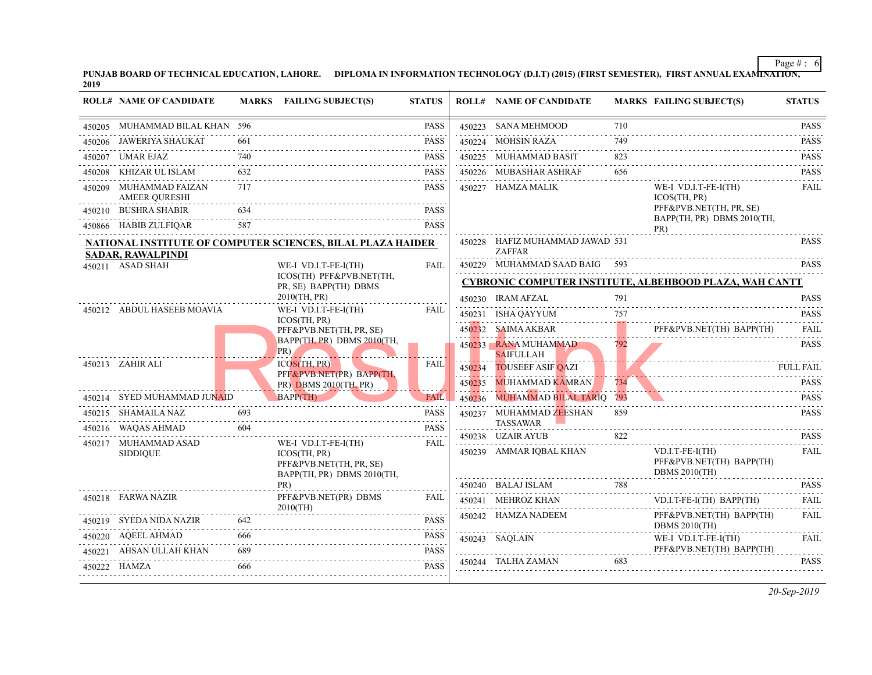| PUNJAB BOARD OF TECHNICAL EDUCATION, LAHORE. | DIPLOMA IN INFORMATION TECHNOLOGY (D.I.T) (2015) (FIRST SEMESTER), |  |
|----------------------------------------------|--------------------------------------------------------------------|--|
| 2019                                         |                                                                    |  |

| <b>ROLL# NAME OF CANDIDATE</b>                 |     | MARKS FAILING SUBJECT(S)                                                        | <b>STATUS</b> |        | <b>ROLL# NAME OF CANDIDATE</b>                   | <b>MARKS FAIL</b> |                     |
|------------------------------------------------|-----|---------------------------------------------------------------------------------|---------------|--------|--------------------------------------------------|-------------------|---------------------|
| 450205 MUHAMMAD BILAL KHAN 596                 |     |                                                                                 | <b>PASS</b>   |        | 450223 SANA MEHMOOD                              | 710               |                     |
| 450206 JAWERIYA SHAUKAT                        | 661 |                                                                                 | <b>PASS</b>   |        | 450224 MOHSIN RAZA                               | 749               |                     |
| 450207 UMAR EJAZ                               | 740 |                                                                                 | <b>PASS</b>   |        | 450225 MUHAMMAD BASIT                            | 823               |                     |
| 450208 KHIZAR UL ISLAM                         | 632 |                                                                                 | <b>PASS</b>   |        | 450226 MUBASHAR ASHRAF<br>.                      | 656               |                     |
| 450209 MUHAMMAD FAIZAN<br><b>AMEER QURESHI</b> | 717 |                                                                                 | <b>PASS</b>   |        | 450227 HAMZA MALIK                               |                   | WE-I<br><b>ICOS</b> |
| 450210 BUSHRA SHABIR                           | 634 |                                                                                 | <b>PASS</b>   |        |                                                  |                   | PFF&<br><b>BAPI</b> |
| 450866 HABIB ZULFIQAR                          | 587 |                                                                                 | <b>PASS</b>   |        |                                                  |                   | PR)                 |
| <b>SADAR, RAWALPINDI</b>                       |     | <b>NATIONAL INSTITUTE OF COMPUTER SCIENCES, BILAL PLAZA HAIDER</b>              |               |        | 450228 HAFIZ MUHAMMAD JAWAD 531<br><b>ZAFFAR</b> |                   |                     |
| 450211 ASAD SHAH                               |     | WE-I VD.I.T-FE-I(TH)                                                            | <b>FAIL</b>   |        | 450229 MUHAMMAD SAAD BAIG 593                    |                   |                     |
|                                                |     | ICOS(TH) PFF&PVB.NET(TH,                                                        |               |        | <b>CYBRONIC COMPUTER INSTITUTE, ALBEHI</b>       |                   |                     |
|                                                |     | PR, SE) BAPP(TH) DBMS<br>2010(TH, PR)                                           |               |        | 450230 IRAM AFZAL                                | 791               |                     |
| 450212 ABDUL HASEEB MOAVIA                     |     | WE-I VD.I.T-FE-I(TH)                                                            | FAIL          |        | 450231 ISHA QAYYUM                               | 757               |                     |
|                                                |     | ICOS(TH, PR)<br>PFF&PVB.NET(TH, PR, SE)<br>BAPP(TH, PR) DBMS 2010(TH,<br>$PR$ ) |               | 450232 | SAIMA AKBAR                                      |                   | PFF&                |
|                                                |     |                                                                                 |               |        | 450233 RANA MUHAMMAD<br><b>SAIFULLAH</b>         | 792               |                     |
| 450213 ZAHIR ALI                               |     | <b>ICOS(TH, PR)</b>                                                             | <b>FAIL</b>   | 450234 | <b>TOUSEEF ASIF QAZI</b>                         |                   |                     |
|                                                |     | PFF&PVB.NET(PR) BAPP(TH,<br>$PR)$ DBMS 2010(TH, PR)                             |               | 450235 | <b>MUHAMMAD KAMRAN</b>                           | 734               |                     |
| 450214 SYED MUHAMMAD JUNAID                    |     | BAPP(TH)                                                                        | FAIL          | 450236 | MUHAMMAD BILAL TARIQ 793                         |                   |                     |
| 450215 SHAMAILA NAZ                            | 693 |                                                                                 | <b>PASS</b>   |        | 450237 MUHAMMAD ZEESHAN                          | 859               |                     |
| 450216 WAQAS AHMAD                             | 604 |                                                                                 | <b>PASS</b>   |        | <b>TASSAWAR</b>                                  |                   |                     |
| 450217 MUHAMMAD ASAD                           |     | WE-I VD.I.T-FE-I(TH)                                                            | FAIL          |        | 450238 UZAIR AYUB                                | 822               |                     |
| <b>SIDDIQUE</b>                                |     | ICOS(TH, PR)                                                                    |               |        | 450239 AMMAR IQBAL KHAN                          |                   | VD.I.<br>PFF&       |
|                                                |     | PFF&PVB.NET(TH, PR, SE)<br>BAPP(TH, PR) DBMS 2010(TH,                           |               |        |                                                  |                   | <b>DBM</b>          |
|                                                |     | PR)                                                                             |               |        | 450240 BALAJ ISLAM 788                           |                   |                     |
| 450218 FARWA NAZIR                             |     | PFF&PVB.NET(PR) DBMS<br>$2010$ (TH)                                             | FAIL          |        | 450241 MEHROZ KHAN<br>.                          |                   | VD.I.               |
| 450219 SYEDA NIDA NAZIR                        | 642 |                                                                                 | <b>PASS</b>   |        | 450242 HAMZA NADEEM                              |                   | PFF&<br><b>DBM</b>  |
| 450220 AQEEL AHMAD                             | 666 |                                                                                 | <b>PASS</b>   |        | 450243 SAQLAIN                                   |                   | WE-I                |
| 450221 AHSAN ULLAH KHAN                        | 689 |                                                                                 | <b>PASS</b>   |        |                                                  |                   | PFF&                |
| 450222 HAMZA                                   | 666 |                                                                                 | <b>PASS</b>   |        | 450244 TALHA ZAMAN                               | 683               |                     |
|                                                |     |                                                                                 |               |        |                                                  |                   |                     |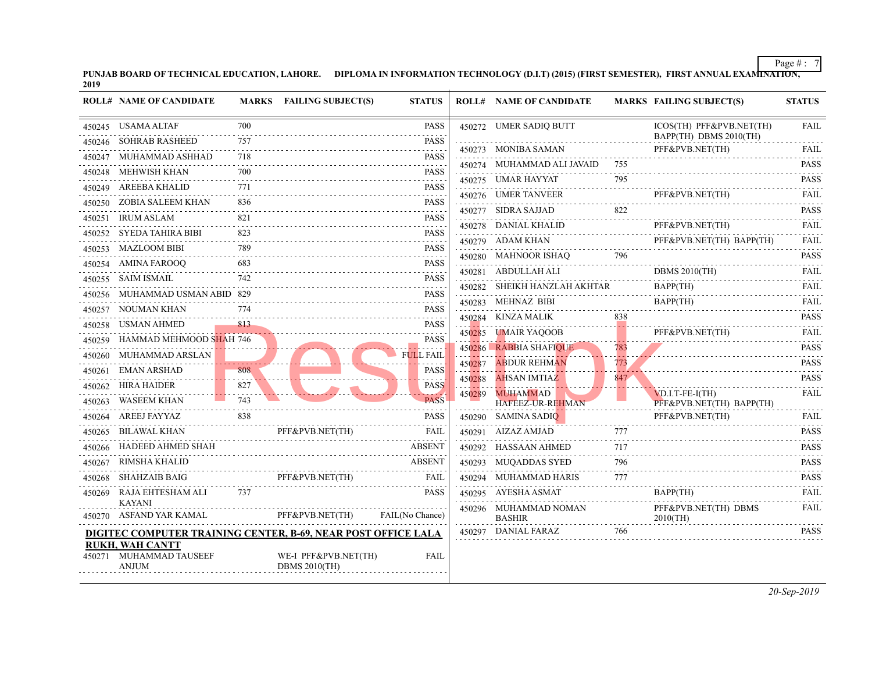|        | 450245 USAMA ALTAF                                            | 700 |                      | PASS                    |         | 450272 UMER SADIQ BUTT                 |     | <b>ICOS</b>         |
|--------|---------------------------------------------------------------|-----|----------------------|-------------------------|---------|----------------------------------------|-----|---------------------|
|        | 450246 SOHRAB RASHEED                                         | 757 |                      | <b>PASS</b><br>.        |         | 450273 MONIBA SAMAN                    |     | <b>BAPI</b><br>PFF& |
|        | 450247 MUHAMMAD ASHHAD                                        | 718 |                      | <b>PASS</b>             |         | 450274 MUHAMMAD ALI JAVAID             | 755 |                     |
|        | 450248 MEHWISH KHAN                                           | 700 |                      | .<br><b>PASS</b>        |         |                                        | 795 |                     |
|        | 450249 AREEBA KHALID                                          | 771 |                      | .<br><b>PASS</b>        |         | 450275 UMAR HAYYAT                     |     |                     |
|        | 450250 ZOBIA SALEEM KHAN                                      | 836 |                      | <b>PASS</b>             |         | 450276 UMER TANVEER                    |     | PFF&                |
|        | 450251 IRUM ASLAM                                             | 821 |                      | PASS                    |         | 450277 SIDRA SAJJAD                    | 822 |                     |
|        | 450252 SYEDA TAHIRA BIBI                                      | 823 |                      | <b>PASS</b>             |         | 450278 DANIAL KHALID                   |     | PFF&                |
|        | 450253 MAZLOOM BIBI                                           | 789 |                      | .<br><b>PASS</b>        |         | 450279 ADAM KHAN                       |     | PFF&                |
|        | 450254 AMINA FAROOQ                                           | 683 |                      | PASS                    |         | 450280 MAHNOOR ISHAQ                   |     |                     |
|        | 450255 SAIM ISMAIL                                            | 742 |                      | <b>PASS</b>             |         | 450281 ABDULLAH ALI                    |     | <b>DBM</b>          |
| 450256 | MUHAMMAD USMAN ABID 829                                       |     |                      | <b>PASS</b>             | 450282. | SHEIKH HANZLAH AKHTAR                  |     | <b>BAPI</b>         |
| 450257 | NOUMAN KHAN                                                   | 774 |                      | <b>PASS</b>             |         | 450283 MEHNAZ BIBI                     |     | BAPI                |
|        | 450258 USMAN AHMED                                            | 813 |                      | <b>PASS</b>             |         | 450284 KINZA MALIK                     | 838 |                     |
|        | 450259 HAMMAD MEHMOOD SHAH 746                                |     |                      | <b>PASS</b>             | 450285  | UMAIR YAQOOB                           |     | PFF&                |
|        | 450260 MUHAMMAD ARSLAN                                        |     |                      | <b>FULL FAIL</b>        | 450286  | <b>RABBIA SHAFIQUE</b>                 | 783 |                     |
| 450261 | EMAN ARSHAD                                                   | 808 |                      | دعاء بال<br><b>PASS</b> | 450287  | <b>ABDUR REHMAN</b>                    | 773 |                     |
|        | 450262 HIRA HAIDER                                            | 827 |                      | <b>PASS</b>             | 450288  | AHSAN IMTIAZ                           | 847 |                     |
| 450263 | WASEEM KHAN                                                   | 743 |                      | <b>PASS</b>             | 450289  | MUHAMMAD<br><b>HAFEEZ-UR-REHMAN</b>    |     | VD.I.<br>PFF&       |
|        | 450264 AREEJ FAYYAZ                                           | 838 |                      | <b>PASS</b>             | 450290  | SAMINA SADIO                           |     | PFF&                |
|        | 450265 BILAWAL KHAN                                           |     | PFF&PVB.NET(TH)      | FAIL                    | 450291  | AIZAZ AMJAD                            | 777 |                     |
|        | 450266 HADEED AHMED SHAH                                      |     |                      | <b>ABSENT</b>           |         | 450292 HASSAAN AHMED                   | 717 |                     |
| 450267 | RIMSHA KHALID                                                 |     |                      | <b>ABSENT</b>           | 450293  | MUQADDAS SYED                          | 796 |                     |
| 450268 | <b>SHAHZAIB BAIG</b>                                          |     | PFF&PVB.NET(TH)      | FAIL                    | 450294  | MUHAMMAD HARIS                         | 777 |                     |
| 450269 | RAJA EHTESHAM ALI                                             | 737 |                      | PASS                    |         | 450295 AYESHA ASMAT                    |     | <b>BAPI</b>         |
|        | <b>KAYANI</b><br>450270 ASFAND YAR KAMAL                      |     | PFF&PVB.NET(TH)      | FAIL(No Chance)         |         | 450296 MUHAMMAD NOMAN<br><b>BASHIR</b> |     | PFF&<br>20100       |
|        | DIGITEC COMPUTER TRAINING CENTER, B-69, NEAR POST OFFICE LALA |     |                      |                         |         | 450297 DANIAL FARAZ                    | 766 |                     |
|        | <b>RUKH, WAH CANTT</b><br>450271 MUHAMMAD TAUSEEF             |     | WE-I PFF&PVB.NET(TH) | <b>FAIL</b>             |         |                                        |     |                     |

 450271 WE-I PFF&PVB.NET(TH) DBMS 2010(TH) ANJUM

**PUNJAB BOARD OF TECHNI[CAL EDUCATION, LAHORE. DIPLOMA IN INFORMATION TECHNOLOGY \(D.I.T\) \(2015\) \(FIRST SEMESTER\),](http://www.result.pk/) FIRST ANNUAL EXAMINATION, 2019**

**ROLL# NAME OF CANDIDATE MARKS FAILING SUBJECT(S) STATUS ROLL# NAME OF CANDIDATE MARKS FAILING SUBJECT(S) STATUS**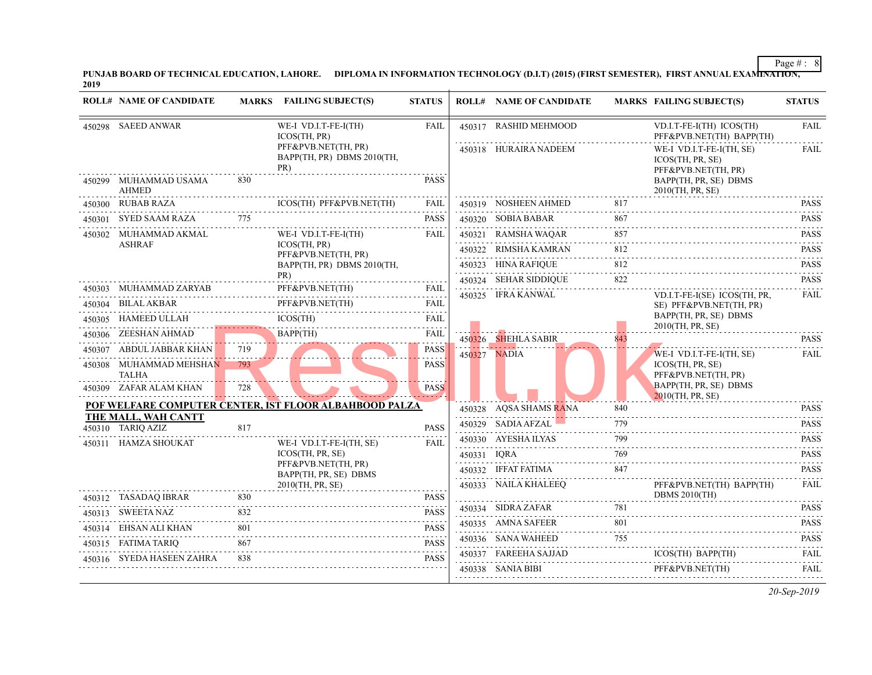|        | <b>ROLL# NAME OF CANDIDATE</b>           |     | <b>MARKS</b> FAILING SUBJECT(S)                                   | <b>STATUS</b> |             | <b>ROLL# NAME OF CANDIDATE</b>           | <b>MARKS FAIL</b> |                             |
|--------|------------------------------------------|-----|-------------------------------------------------------------------|---------------|-------------|------------------------------------------|-------------------|-----------------------------|
|        | 450298 SAEED ANWAR                       |     | WE-I VD.I.T-FE-I(TH)<br>ICOS(TH, PR)                              | <b>FAIL</b>   |             | 450317 RASHID MEHMOOD                    |                   | VD.I.<br>PFF&               |
|        |                                          |     | PFF&PVB.NET(TH, PR)<br>BAPP(TH, PR) DBMS 2010(TH,<br>PR)          |               |             | 450318 HURAIRA NADEEM                    |                   | WE-I<br><b>ICOS</b><br>PFF& |
|        | 450299 MUHAMMAD USAMA<br><b>AHMED</b>    | 830 |                                                                   | <b>PASS</b>   |             |                                          |                   | <b>BAPI</b><br>2010(        |
| 450300 | <b>RUBAB RAZA</b>                        |     | ICOS(TH) PFF&PVB.NET(TH)                                          | <b>FAIL</b>   |             | 450319 NOSHEEN AHMED                     | 817               |                             |
| 450301 | SYED SAAM RAZA                           | 775 |                                                                   | <b>PASS</b>   |             | 450320 SOBIA BABAR                       | 867               |                             |
|        | 450302 MUHAMMAD AKMAL                    |     | WE-I VD.I.T-FE-I(TH)                                              | FAIL          |             | 450321 RAMSHA WAQAR                      | 857               |                             |
|        | <b>ASHRAF</b>                            |     | ICOS(TH, PR)<br>PFF&PVB.NET(TH, PR)<br>BAPP(TH, PR) DBMS 2010(TH, |               |             | 450322 RIMSHA KAMRAN                     | 812               |                             |
|        |                                          |     |                                                                   |               |             | 450323 HINA RAFIQUE                      | 812               |                             |
|        | 450303 MUHAMMAD ZARYAB                   |     | PR)<br>PFF&PVB.NET(TH)                                            | FAIL          |             | 450324 SEHAR SIDDIQUE                    | 822               |                             |
|        | 450304 BILAL AKBAR                       |     | PFF&PVB.NET(TH)                                                   | .<br>FAIL     |             | 450325 IFRA KANWAL                       |                   | VD.I.                       |
|        | 450305 HAMEED ULLAH                      |     | ICOS(TH)                                                          | FAIL          |             |                                          |                   | SE)<br><b>BAPI</b>          |
| 450306 | ZEESHAN AHMAD                            |     | <b>BAPP(TH)</b>                                                   | <b>FAIL</b>   |             |                                          |                   | 20100                       |
|        | 450307 ABDUL JABBAR KHAN                 | 719 |                                                                   | <b>PASS</b>   |             | 450326 SHEHLA SABIR                      | 843               | المتواكد والم               |
|        | 450308 MUHAMMAD MEHSHAN<br><b>TALHA</b>  | 793 |                                                                   | <b>PASS</b>   |             | 450327 NADIA                             |                   | WE-I<br><b>ICOS</b><br>PFF& |
|        | 450309 ZAFAR ALAM KHAN                   | 728 |                                                                   | <b>PASS</b>   |             |                                          |                   | <b>BAPI</b><br>2010(        |
|        |                                          |     | POF WELFARE COMPUTER CENTER, IST FLOOR ALBAHBOOD PALZA            |               |             | 450328 AQSA SHAMS RANA                   | 840               |                             |
|        | THE MALL, WAH CANTT<br>450310 TARIQ AZIZ | 817 |                                                                   | <b>PASS</b>   |             | 450329 SADIA AFZAL                       | 779               |                             |
|        | 450311 HAMZA SHOUKAT                     |     | WE-I VD.I.T-FE-I(TH, SE)                                          | <b>FAIL</b>   |             | 450330 AYESHA ILYAS                      | 799               |                             |
|        |                                          |     | ICOS(TH, PR, SE)                                                  |               | 450331 IQRA |                                          | 769               |                             |
|        |                                          |     | PFF&PVB.NET(TH, PR)<br>BAPP(TH, PR, SE) DBMS                      |               |             | 450332 IFFAT FATIMA                      | 847               |                             |
|        |                                          |     | 2010(TH, PR, SE)                                                  |               |             | 450333 NAILA KHALEEO                     |                   | PFF&                        |
|        | 450312 TASADAQ IBRAR                     | 830 |                                                                   | <b>PASS</b>   |             | 450334 SIDRA ZAFAR                       | 781               | <b>DBM</b>                  |
|        | 450313 SWEETA NAZ                        | 832 |                                                                   | <b>PASS</b>   |             |                                          |                   |                             |
| 450314 | EHSAN ALI KHAN                           | 801 |                                                                   | <b>PASS</b>   |             | 450335 AMNA SAFEER<br>450336 SANA WAHEED | 801<br>755        |                             |
|        | 450315 FATIMA TARIQ                      | 867 |                                                                   | <b>PASS</b>   |             | 450337 FAREEHA SAJJAD                    |                   | <b>ICOS</b>                 |
|        | 450316 SYEDA HASEEN ZAHRA                | 838 |                                                                   | <b>PASS</b>   |             |                                          |                   |                             |
|        |                                          |     |                                                                   |               |             | 450338 SANIA BIBI                        |                   | PFF&                        |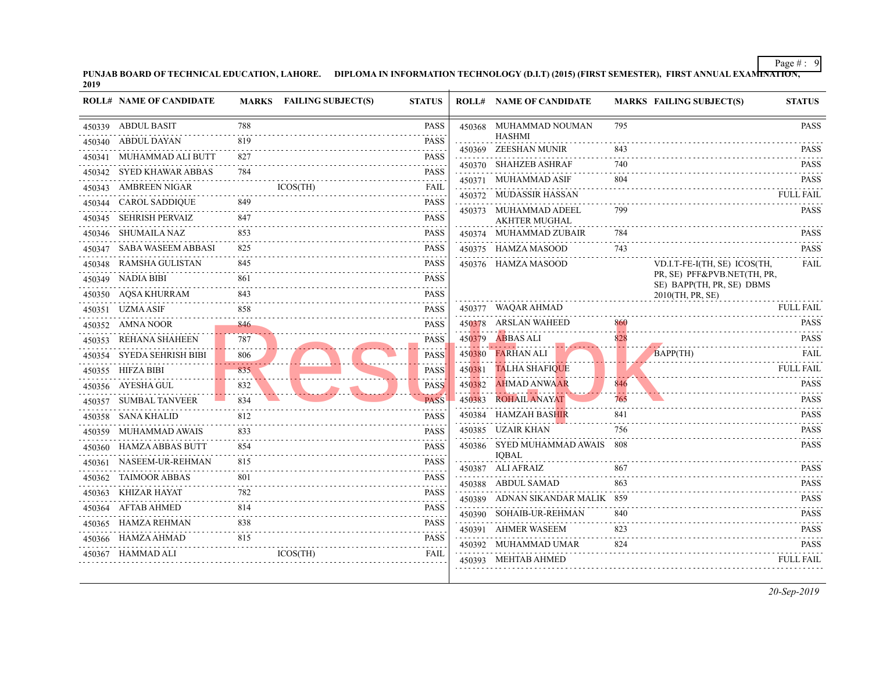| PUNJAB BOARD OF TECHNICAL EDUCATION, LAHORE. | DIPLOMA IN INFORMATION TECHNOLOGY (D.I.T) (2015) (FIRST SEMESTER), 1 |
|----------------------------------------------|----------------------------------------------------------------------|
| 2019                                         |                                                                      |

| <b>ROLL# NAME OF CANDIDATE</b> |          | MARKS FAILING SUBJECT(S) | <b>STATUS</b>                                                                                                                                                                                  |        | <b>ROLL# NAME OF CANDIDATE</b>    | <b>MARKS FAIL</b> |                |
|--------------------------------|----------|--------------------------|------------------------------------------------------------------------------------------------------------------------------------------------------------------------------------------------|--------|-----------------------------------|-------------------|----------------|
| 450339 ABDUL BASIT             | 788      |                          | <b>PASS</b>                                                                                                                                                                                    |        | 450368 MUHAMMAD NOUMAN            | 795               |                |
| 450340 ABDUL DAYAN             | 819      |                          | <b>PASS</b>                                                                                                                                                                                    |        | HASHMI<br>450369 ZEESHAN MUNIR    | 843               |                |
| 450341 MUHAMMAD ALI BUTT       | 827      |                          | PASS                                                                                                                                                                                           |        | 450370 SHAHZEB ASHRAF             | 740               |                |
| 450342 SYED KHAWAR ABBAS       | 784      |                          | <b>PASS</b><br>.                                                                                                                                                                               |        | 450371 MUHAMMAD ASIF              | 804               |                |
| 450343 AMBREEN NIGAR           |          | ICOS(TH)                 | FAIL                                                                                                                                                                                           |        | 450372 MUDASSIR HASSAN            |                   |                |
| 450344 CAROL SADDIQUE          | 849      |                          | PASS<br>.                                                                                                                                                                                      |        | 450373 MUHAMMAD ADEEL             | 799               |                |
| 450345 SEHRISH PERVAIZ         | 847      |                          | <b>PASS</b>                                                                                                                                                                                    |        | <b>AKHTER MUGHAL</b>              |                   |                |
| 450346 SHUMAILA NAZ            | 853      |                          | PASS                                                                                                                                                                                           |        | 450374 MUHAMMAD ZUBAIR            | 784               |                |
| 450347 SABA WASEEM ABBASI      | 825      |                          | <b>PASS</b>                                                                                                                                                                                    |        | 450375 HAMZA MASOOD               | 743               |                |
| 450348 RAMSHA GULISTAN         | 845      |                          | PASS                                                                                                                                                                                           |        | 450376 HAMZA MASOOD               |                   | VD.I.          |
| 450349 NADIA BIBI              | 861      |                          | PASS                                                                                                                                                                                           |        |                                   |                   | PR, S<br>SE) I |
| 450350 AQSA KHURRAM            | 843      |                          | PASS                                                                                                                                                                                           |        |                                   |                   | 20100          |
| 450351 UZMA ASIF               | 858<br>. |                          | PASS                                                                                                                                                                                           |        | 450377 WAQAR AHMAD                |                   |                |
| 450352 AMNA NOOR               | 846      |                          | <b>PASS</b>                                                                                                                                                                                    |        | 450378 ARSLAN WAHEED              | 860               |                |
| 450353 REHANA SHAHEEN          | 787      |                          | <b>PASS</b>                                                                                                                                                                                    |        | 450379 ABBAS ALI                  | 828               |                |
| 450354 SYEDA SEHRISH BIBI      | -806     |                          | PASS                                                                                                                                                                                           |        | 450380 FARHAN ALI                 |                   | <b>BAPI</b>    |
| 450355 HIFZA BIBI              | 835      |                          | <b>PASS</b>                                                                                                                                                                                    |        | 450381 TALHA SHAFIQUE             |                   |                |
| 450356 AYESHA GUL              | 832      |                          | <b>PASS</b>                                                                                                                                                                                    | 450382 | AHMAD ANWAAR                      | 846               |                |
| 450357 SUMBAL TANVEER          | 834      |                          | <b>PASS</b>                                                                                                                                                                                    |        | 450383 ROHAIL ANAYAT              | 765               |                |
| 450358 SANA KHALID             | 812      |                          | PASS                                                                                                                                                                                           |        | 450384 HAMZAH BASHIR              | 841               |                |
| 450359 MUHAMMAD AWAIS          | 833      |                          | <b>PASS</b>                                                                                                                                                                                    |        | 450385 UZAIR KHAN                 | 756               |                |
| 450360 HAMZA ABBAS BUTT        | 854      |                          | <b>PASS</b>                                                                                                                                                                                    |        | 450386 SYED MUHAMMAD AWAIS        | - 808             |                |
| 450361 NASEEM-UR-REHMAN        | 815      |                          | <b>PASS</b>                                                                                                                                                                                    |        | <b>IOBAL</b><br>450387 ALI AFRAIZ | 867               |                |
| 450362 TAIMOOR ABBAS           | 801      |                          | <b>PASS</b><br>$\frac{1}{2} \left( \frac{1}{2} \right) \left( \frac{1}{2} \right) \left( \frac{1}{2} \right) \left( \frac{1}{2} \right) \left( \frac{1}{2} \right) \left( \frac{1}{2} \right)$ |        | 450388 ABDUL SAMAD                | 863               |                |
| 450363 KHIZAR HAYAT            | 782      |                          | PASS                                                                                                                                                                                           |        | 450389 ADNAN SIKANDAR MALIK 859   |                   |                |
| 450364 AFTAB AHMED             | 814      |                          | <b>PASS</b><br>.                                                                                                                                                                               |        | 450390 SOHAIB-UR-REHMAN           | 840               |                |
| 450365 HAMZA REHMAN            | 838      |                          | <b>PASS</b>                                                                                                                                                                                    |        | 450391 AHMER WASEEM               | 823               |                |
| 450366 HAMZA AHMAD             | 815      |                          | <b>PASS</b>                                                                                                                                                                                    |        | 450392 MUHAMMAD UMAR              | 824               |                |
| 450367 HAMMAD ALI              |          | ICOS(TH)                 | FAIL                                                                                                                                                                                           |        | 450393 MEHTAB AHMED               |                   |                |
|                                |          |                          |                                                                                                                                                                                                |        |                                   |                   |                |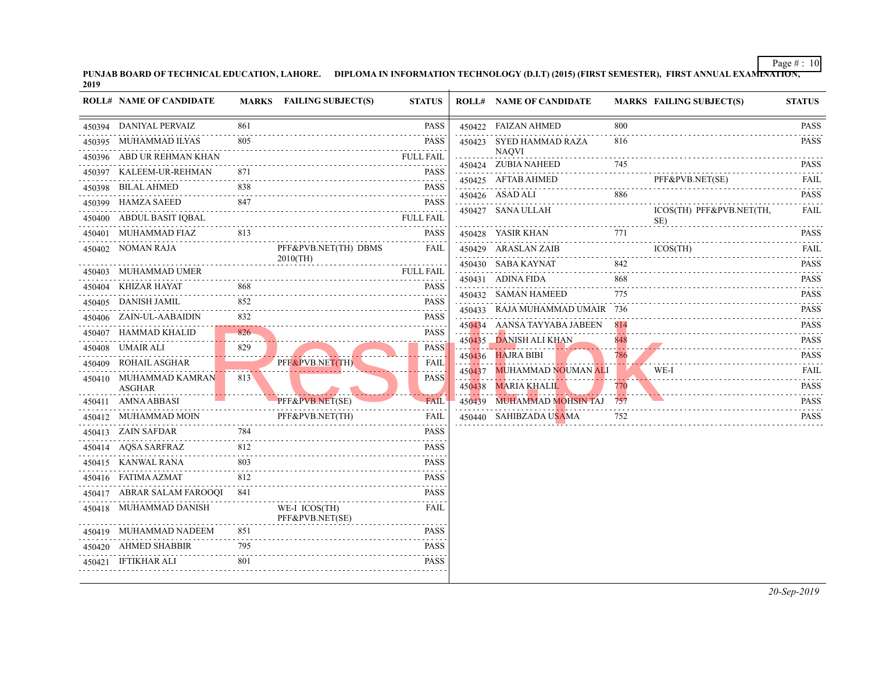| PUNJAB BOARD OF TECHNICAL EDUCATION, LAHORE. | DIPLOMA IN INFORMATION TECHNOLOGY (D.I.T) (2015) (FIRST SEMESTER), |
|----------------------------------------------|--------------------------------------------------------------------|
| 2019                                         |                                                                    |

|   | <b>ROLL# NAME OF CANDIDATE</b> |          | MARKS FAILING SUBJECT(S)         | <b>STATUS</b>         | <b>ROLL# NAME OF CANDIDATE</b>       | <b>MARKS FAIL</b> |             |
|---|--------------------------------|----------|----------------------------------|-----------------------|--------------------------------------|-------------------|-------------|
|   | 450394 DANIYAL PERVAIZ         | 861      |                                  | <b>PASS</b>           | 450422 FAIZAN AHMED                  | 800               |             |
| . | 450395 MUHAMMAD ILYAS          | 805      |                                  | <b>PASS</b>           | 450423 SYED HAMMAD RAZA              | 816               |             |
|   | 450396 ABD UR REHMAN KHAN      |          |                                  | <b>FULL FAIL</b>      | <b>NAQVI</b><br>450424 ZUBIA NAHEED  | 745               |             |
|   | 450397 KALEEM-UR-REHMAN        | 871      |                                  | <b>PASS</b>           | 450425 AFTAB AHMED                   |                   | PFF&        |
|   | 450398 BILAL AHMED             | 838      |                                  | <b>PASS</b>           |                                      | 886               |             |
|   | 450399 HAMZA SAEED             | 847      |                                  | <b>PASS</b>           | 450426 ASAD ALI<br>450427 SANA ULLAH |                   | <b>ICOS</b> |
|   | 450400 ABDUL BASIT IQBAL       |          |                                  | <b>FULL FAIL</b><br>. |                                      |                   | SE)         |
|   | 450401 MUHAMMAD FIAZ           | 813      |                                  | <b>PASS</b>           | 450428 YASIR KHAN                    | 771               |             |
|   | 450402 NOMAN RAJA              |          | PFF&PVB.NET(TH) DBMS             | FAIL                  | 450429 ARASLAN ZAIB                  |                   | <b>ICOS</b> |
|   | 450403 MUHAMMAD UMER           |          | $2010$ (TH)                      | <b>FULL FAIL</b>      | 450430 SABA KAYNAT                   | 842               |             |
|   | 450404 KHIZAR HAYAT            | 868      |                                  | <b>PASS</b>           | 450431 ADINA FIDA                    | 868               |             |
|   | 450405 DANISH JAMIL            | 852      |                                  | <b>PASS</b>           | 450432 SAMAN HAMEED                  | 775               |             |
|   | 450406 ZAIN-UL-AABAIDIN        | 832      |                                  | <b>PASS</b>           | 450433 RAJA MUHAMMAD UMAIR 736       |                   |             |
|   | 450407 HAMMAD KHALID           | 826      |                                  | <b>PASS</b>           | 450434 AANSA TAYYABA JABEEN          | 814               |             |
|   | 450408 UMAIR ALI               | .<br>829 |                                  | <b>PASS</b>           | 450435 DANISH ALI KHAN               | 848<br>. <u>.</u> |             |
|   | 450409 ROHAIL ASGHAR           |          | PFF&PVB.NET(TH)                  | <b>FAIL</b>           | 450436 HAJRA BIBI                    | 786               |             |
|   | 450410 MUHAMMAD KAMRAN         | 813      |                                  | <b>PASS</b>           | 450437 MUHAMMAD NOUMAN ALI           |                   | WE-I        |
|   | ASGHAR                         |          |                                  |                       | 450438 MARIA KHALIL                  | 770               |             |
|   | 450411 AMNA ABBASI             |          | PFF&PVB.NET(SE)                  | <b>FAIL</b>           | 450439 MUHAMMAD MOHSIN TAJ 757       |                   |             |
|   | 450412 MUHAMMAD MOIN           |          | PFF&PVB.NET(TH)                  | FAIL                  | 450440 SAHIBZADA USAMA               | 752               |             |
|   | 450413 ZAIN SAFDAR             | 784      |                                  | <b>PASS</b>           |                                      |                   |             |
|   | 450414 AQSA SARFRAZ            | 812      |                                  | <b>PASS</b>           |                                      |                   |             |
|   | 450415 KANWAL RANA             | 803      |                                  | <b>PASS</b>           |                                      |                   |             |
|   | 450416 FATIMA AZMAT            | 812      | .                                | <b>PASS</b>           |                                      |                   |             |
|   | 450417 ABRAR SALAM FAROOQI 841 |          |                                  | <b>PASS</b>           |                                      |                   |             |
|   | 450418 MUHAMMAD DANISH         |          | WE-I ICOS(TH)<br>PFF&PVB.NET(SE) | FAIL                  |                                      |                   |             |
|   | 450419 MUHAMMAD NADEEM         | 851      |                                  | <b>PASS</b>           |                                      |                   |             |
|   | 450420 AHMED SHABBIR           | 795      |                                  | <b>PASS</b>           |                                      |                   |             |
|   | 450421 IFTIKHAR ALI            | -801     |                                  | <b>PASS</b>           |                                      |                   |             |
|   |                                |          |                                  |                       |                                      |                   |             |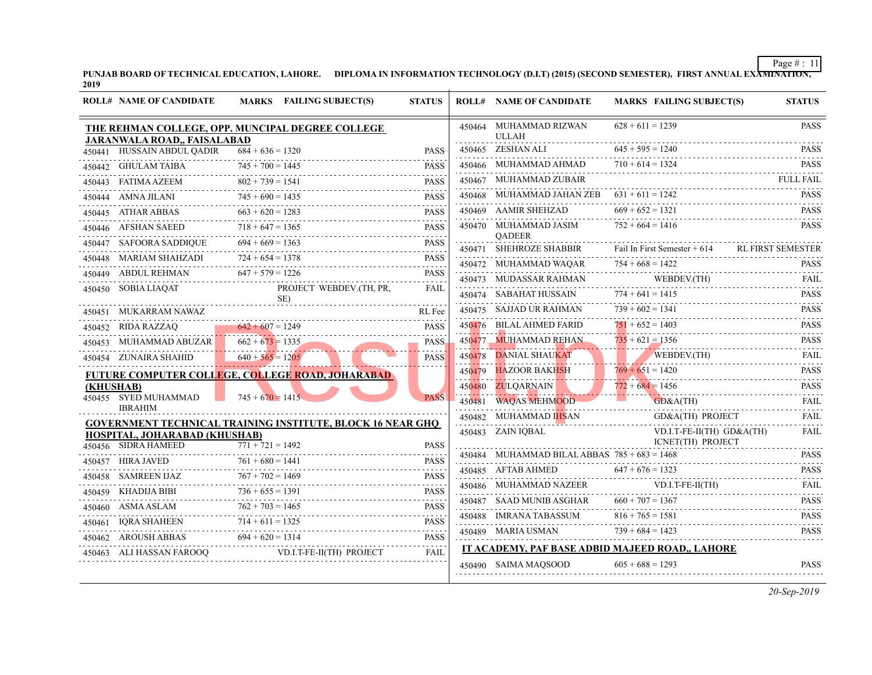| <b>ROLL# NAME OF CANDIDATE</b>                                                  |                         | MARKS FAILING SUBJECT(S)                                          | <b>STATUS</b>    |        | <b>ROLL# NAME OF CANDIDATE</b>                 | <b>MARKS FAIL</b>  |
|---------------------------------------------------------------------------------|-------------------------|-------------------------------------------------------------------|------------------|--------|------------------------------------------------|--------------------|
| THE REHMAN COLLEGE, OPP. MUNCIPAL DEGREE COLLEGE<br>JARANWALA ROAD., FAISALABAD |                         |                                                                   |                  |        | 450464 MUHAMMAD RIZWAN<br><b>ULLAH</b>         | $628 + 611 = 1239$ |
| 450441 HUSSAIN ABDUL QADIR                                                      | $684 + 636 = 1320$      |                                                                   | <b>PASS</b>      |        | 450465 ZESHAN ALI                              | $645 + 595 = 1240$ |
| 450442 GHULAM TAIBA                                                             | $745 + 700 = 1445$      |                                                                   | <b>PASS</b>      |        | 450466 MUHAMMAD AHMAD                          | $710 + 614 = 132$  |
| 450443 FATIMA AZEEM                                                             | .<br>$802 + 739 = 1541$ | $2 + 739 = 1541$ PASS                                             | <b>PASS</b>      |        | 450467 MUHAMMAD ZUBAIR                         |                    |
| 450444 AMNA JILANI                                                              | $745 + 690 = 1435$      |                                                                   | <b>PASS</b>      |        | 450468 MUHAMMAD JAHAN ZEB                      | $631 + 611 = 1241$ |
| 450445 ATHAR ABBAS                                                              | $663 + 620 = 1283$      |                                                                   | <b>PASS</b>      |        | 450469 AAMIR SHEHZAD                           | $669 + 652 = 132$  |
| 450446 AFSHAN SAEED                                                             | $718 + 647 = 1365$      |                                                                   | <b>PASS</b>      |        | 450470 MUHAMMAD JASIM                          | $752 + 664 = 141$  |
| 450447    SAFOORA SADDIQUE                                                      | $694 + 669 = 1363$      |                                                                   |                  |        | <b>OADEER</b><br>450471 SHEHROZE SHABBIR       | Fail In First Sem  |
| 450448 MARIAM SHAHZADI                                                          | $724 + 654 = 1378$      |                                                                   | <b>PASS</b>      |        | 450472 MUHAMMAD WAQAR                          | $754 + 668 = 1421$ |
| 450449 ABDUL REHMAN                                                             | $647 + 579 = 1226$      |                                                                   | <b>PASS</b>      |        | 450473 MUDASSAR RAHMAN                         | <b>WEB</b>         |
| 450450 SOBIA LIAQAT                                                             |                         | PROJECT WEBDEV.(TH, PR,<br>SE)                                    | FAIL             |        | 450474 SABAHAT HUSSAIN                         | $774 + 641 = 141$  |
| 450451     MUKARRAM NAWAZ                                                       |                         |                                                                   | RL Fee           |        | 450475 SAJJAD UR RAHMAN                        | $739 + 602 = 134$  |
| 450452 RIDA RAZZAQ                                                              | $642 + 607 = 1249$      | $642 + 607 = 1249$ PASS                                           | <b>PASS</b>      |        | 450476 BILAL AHMED FARID                       | $751 + 652 = 1401$ |
| 450453 MUHAMMAD ABUZAR                                                          | $662 + 673 = 1335$      |                                                                   | <b>PASS</b>      | 450477 | <b>MUHAMMAD REHAN</b>                          | $735 + 621 = 135$  |
| 450454 ZUNAIRA SHAHID                                                           | $640 + 565 = 1205$      |                                                                   | <b>PASS</b>      | 450478 | DANIAL SHAUKAT                                 | <b>WEB</b>         |
|                                                                                 |                         | <b>FUTURE COMPUTER COLLEGE, COLLEGE ROAD, JOHARABAD</b>           |                  | 450479 | HAZOOR BAKHSH                                  | $769 + 651 = 142$  |
| (KHUSHAB)                                                                       |                         |                                                                   |                  | 450480 | ZULQARNAIN                                     | $772 + 684 = 145$  |
| 450455 SYED MUHAMMAD<br><b>IBRAHIM</b>                                          | $745 + 670 = 1415$      |                                                                   | <b>PASS</b>      | 450481 | <b>WAQAS MEHMOOD</b>                           | GD&                |
|                                                                                 |                         | <b>GOVERNMENT TECHNICAL TRAINING INSTITUTE, BLOCK 16 NEAR GHQ</b> |                  |        | 450482 MUHAMMAD IHSAN                          | $GD\&$             |
| HOSPITAL, JOHARABAD (KHUSHAB)                                                   |                         |                                                                   |                  |        | 450483 ZAIN IQBAL                              | VD.I.              |
| 450456 SIDRA HAMEED                                                             | $771 + 721 = 1492$      |                                                                   | <b>PASS</b>      |        | 450484 MUHAMMAD BILAL ABBAS $785 + 683 = 1463$ | <b>ICNE</b>        |
| 450457 HIRA JAVED                                                               | $761 + 680 = 1441$      |                                                                   | <b>PASS</b><br>. |        | 450485 AFTAB AHMED                             | $647 + 676 = 1321$ |
| 450458 SAMREEN IJAZ                                                             | $767 + 702 = 1469$      |                                                                   | <b>PASS</b>      |        | 450486 MUHAMMAD NAZEER                         | VD.I.              |
| 450459 KHADIJA BIBI                                                             | $736 + 655 = 1391$      | $6 + 655 = 1391$ PASS                                             |                  |        | 450487 SAAD MUNIB ASGHAR                       | $660 + 707 = 136'$ |
| 450460 ASMA ASLAM                                                               | $762 + 703 = 1465$      |                                                                   |                  |        | 450488 IMRANA TABASSUM                         | $816 + 765 = 158$  |
| 450461 IQRA SHAHEEN                                                             |                         | 0461 IQRA SHAHEEN 714 + 611 = 1325 PASS                           |                  |        | 450489 MARIA USMAN                             | $739 + 684 = 142$  |
|                                                                                 | $694 + 620 = 1314$      |                                                                   | <b>PASS</b>      |        |                                                |                    |
| 450463 ALI HASSAN FAROOQ                                                        |                         | VD.I.T-FE-II(TH) PROJECT                                          | FAIL             |        | IT ACADEMY, PAF BASE ADBID MAJEED ROA          |                    |
|                                                                                 |                         |                                                                   |                  |        | 450490 SAIMA MAQSOOD                           | $605 + 688 = 129$  |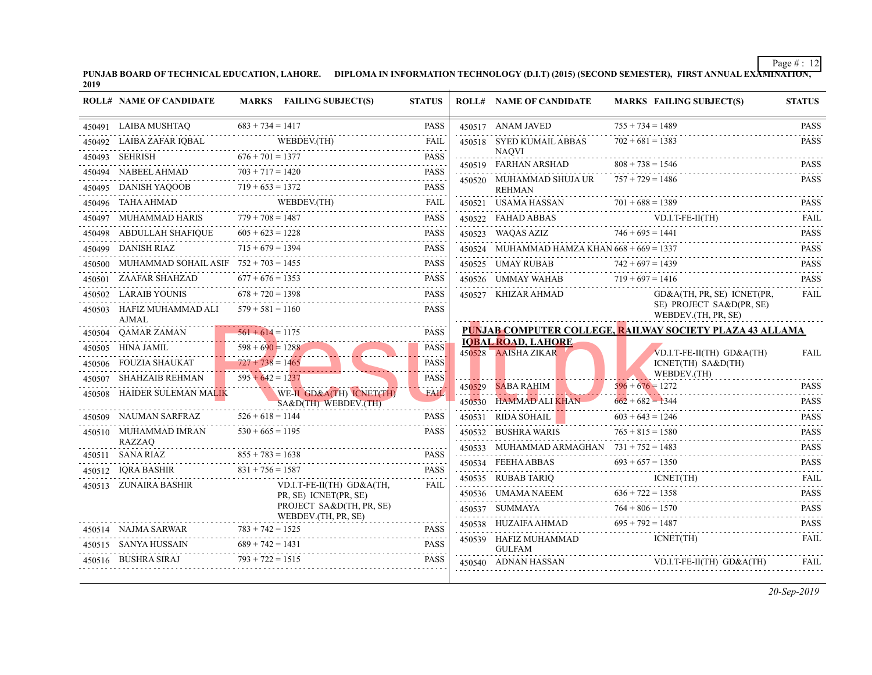**PUNJAB BOARD OF TECHNICAL EDUCATION, LAHORE.** DIPLOMA IN INFORMATION TECHNOLOGY (D.I.T) (2015) (SECOND SEMESTER), 2019

|        | <b>ROLL# NAME OF CANDIDATE</b>                        |                    | MARKS FAILING SUBJECT(S)                                                                                                                                                                                                                                                                                                                                                                                                          | <b>STATUS</b>     | <b>ROLL# NAME OF CANDIDATE</b>                   | <b>MARKS FAIL</b>                       |
|--------|-------------------------------------------------------|--------------------|-----------------------------------------------------------------------------------------------------------------------------------------------------------------------------------------------------------------------------------------------------------------------------------------------------------------------------------------------------------------------------------------------------------------------------------|-------------------|--------------------------------------------------|-----------------------------------------|
|        | 450491 LAIBA MUSHTAO                                  | $683 + 734 = 1417$ |                                                                                                                                                                                                                                                                                                                                                                                                                                   | <b>PASS</b>       | 450517 ANAM JAVED                                | $755 + 734 = 148$                       |
|        |                                                       |                    | 450492 LAIBA ZAFAR IQBAL WEBDEV.(TH)                                                                                                                                                                                                                                                                                                                                                                                              | FAIL<br>2.2.2.2.2 | 450518 SYED KUMAIL ABBAS                         | $702 + 681 = 1381$                      |
|        | $676 + 701 = 1377$<br>450493 SEHRISH                  |                    |                                                                                                                                                                                                                                                                                                                                                                                                                                   | <b>PASS</b>       | <b>NAOVI</b><br>450519 FARHAN ARSHAD             | <u>.</u><br>$808 + 738 = 154$           |
|        | 450494 NABEEL AHMAD                                   |                    |                                                                                                                                                                                                                                                                                                                                                                                                                                   | <b>PASS</b>       | 450520 MUHAMMAD SHUJA UR                         | $757 + 729 = 148$                       |
|        | 450495 DANISH YAQOOB                                  |                    |                                                                                                                                                                                                                                                                                                                                                                                                                                   |                   | <b>REHMAN</b>                                    |                                         |
|        |                                                       |                    | $\begin{tabular}{cc} $450496$ & TAHA AHMAD & \color{red}{WEBDEV(TH)} & \color{red}{FAIL} \\ \color{red}{\end{tabular} \vspace{.} \vspace{.} \vspace{.} \vspace{.} \vspace{.} \vspace{.} \vspace{.} \vspace{.} \vspace{.} \vspace{.} \vspace{.} \vspace{.} \vspace{.} \vspace{.} \vspace{.} \vspace{.} \vspace{.} \vspace{.} \vspace{.} \vspace{.} \vspace{.} \vspace{.} \vspace{.} \vspace{.} \vspace{.} \vspace{.} \vspace{.} \$ |                   | 450521 USAMA HASSAN                              | $701 + 688 = 138$                       |
|        | 450497 MUHAMMAD HARIS $779 + 708 = 1487$              |                    |                                                                                                                                                                                                                                                                                                                                                                                                                                   | <b>PASS</b>       | 450522 FAHAD ABBAS                               | VD.I.                                   |
|        | 450498 ABDULLAH SHAFIQUE $605 + 623 = 1228$           |                    |                                                                                                                                                                                                                                                                                                                                                                                                                                   | <b>PASS</b>       | 450523 WAQAS AZIZ                                | $746 + 695 = 144$                       |
|        | 450499 DANISH RIAZ                                    | $715 + 679 = 1394$ |                                                                                                                                                                                                                                                                                                                                                                                                                                   | <b>PASS</b>       | 450524 MUHAMMAD HAMZA KHAN $668 + 669 = 133'$    |                                         |
|        | 450500 MUHAMMAD SOHAIL ASIF $752 + 703 = 1455$        |                    |                                                                                                                                                                                                                                                                                                                                                                                                                                   | <b>PASS</b>       | 450525 UMAY RUBAB                                | $742 + 697 = 1439$                      |
|        | 450501 ZAAFAR SHAHZAD                                 | $677 + 676 = 1353$ |                                                                                                                                                                                                                                                                                                                                                                                                                                   | <b>PASS</b>       | 450526 UMMAY WAHAB $719 + 697 = 141$             |                                         |
|        | 450502 LARAIB YOUNIS                                  | $678 + 720 = 1398$ |                                                                                                                                                                                                                                                                                                                                                                                                                                   | <b>PASS</b>       | 450527 KHIZAR AHMAD                              | GD&                                     |
|        | 450503 HAFIZ MUHAMMAD ALI $579 + 581 = 1160$<br>AJMAL |                    |                                                                                                                                                                                                                                                                                                                                                                                                                                   | <b>PASS</b>       |                                                  | SE) I<br><b>WEB</b>                     |
|        | 450504 QAMAR ZAMAN                                    | $561 + 614 = 1175$ |                                                                                                                                                                                                                                                                                                                                                                                                                                   | <b>PASS</b>       | <b>PUNJAB COMPUTER COLLEGE, RAILWAY SO</b>       |                                         |
|        | 450505 HINA JAMIL                                     | $598 + 690 = 1288$ |                                                                                                                                                                                                                                                                                                                                                                                                                                   | <b>PASS</b>       | <b>IOBAL ROAD, LAHORE</b><br>450528 AAISHA ZIKAR | VD.I.                                   |
|        | 450506 FOUZIA SHAUKAT                                 | $727 + 738 = 1465$ |                                                                                                                                                                                                                                                                                                                                                                                                                                   | <b>PASS</b>       |                                                  | <b>ICNE</b>                             |
|        | 450507 SHAHZAIB REHMAN                                | $595 + 642 = 1237$ |                                                                                                                                                                                                                                                                                                                                                                                                                                   | <b>PASS</b>       |                                                  | <b>WEB</b>                              |
|        | 450508 HAIDER SULEMAN MALIK                           | .                  | WE-II GD&A(TH) ICNET(TH)<br>SA&D(TH) WEBDEV.(TH)                                                                                                                                                                                                                                                                                                                                                                                  | .<br>FAIL         | 450529 SABA RAHIM<br>450530 HAMMAD ALI KHAN      | $596 + 676 = 1271$<br>$662 + 682 = 134$ |
|        | 450509 NAUMAN SARFRAZ                                 | $526 + 618 = 1144$ |                                                                                                                                                                                                                                                                                                                                                                                                                                   | <b>PASS</b>       | 450531 RIDA SOHAIL                               | $603 + 643 = 124$                       |
|        | 450510 MUHAMMAD IMRAN<br>RAZZAO                       | $530 + 665 = 1195$ |                                                                                                                                                                                                                                                                                                                                                                                                                                   | <b>PASS</b>       | 450532 BUSHRA WARIS                              | $765 + 815 = 158$                       |
|        | $855 + 783 = 1638$<br>450511 SANA RIAZ                |                    |                                                                                                                                                                                                                                                                                                                                                                                                                                   | <b>PASS</b>       | 450533 MUHAMMAD ARMAGHAN $731 + 752 = 1481$      |                                         |
|        | 450512 IQRA BASHIR                                    | $831 + 756 = 1587$ |                                                                                                                                                                                                                                                                                                                                                                                                                                   | <b>PASS</b>       | 450534 FEEHA ABBAS                               | $693 + 657 = 135$                       |
| 450513 | ZUNAIRA BASHIR                                        |                    | VD.I.T-FE-II(TH) GD&A(TH,                                                                                                                                                                                                                                                                                                                                                                                                         | FAIL              | 450535 RUBAB TARIQ                               | ICNE                                    |
|        |                                                       |                    | PR, SE) ICNET(PR, SE)                                                                                                                                                                                                                                                                                                                                                                                                             |                   | 450536 UMAMA NAEEM $636 + 722 = 1$               | $636 + 722 = 135$                       |
|        |                                                       |                    | PROJECT SA&D(TH, PR, SE)<br>WEBDEV.(TH, PR, SE)                                                                                                                                                                                                                                                                                                                                                                                   |                   | 450537 SUMMAYA                                   | $764 + 806 = 157$                       |
|        | 450514 NAJMA SARWAR                                   | $783 + 742 = 1525$ |                                                                                                                                                                                                                                                                                                                                                                                                                                   | <b>PASS</b>       | 450538 HUZAIFA AHMAD                             | $695 + 792 = 1481$                      |
|        | 450515 SANYA HUSSAIN                                  | $689 + 742 = 1431$ |                                                                                                                                                                                                                                                                                                                                                                                                                                   | <b>PASS</b>       | 450539 HAFIZ MUHAMMAD<br><b>GULFAM</b>           | <b>ICNE</b>                             |
|        | 450516 BUSHRA SIRAJ                                   | $793 + 722 = 1515$ |                                                                                                                                                                                                                                                                                                                                                                                                                                   | PASS              | 450540 ADNAN HASSAN                              | VD.I.                                   |
|        |                                                       |                    |                                                                                                                                                                                                                                                                                                                                                                                                                                   |                   |                                                  |                                         |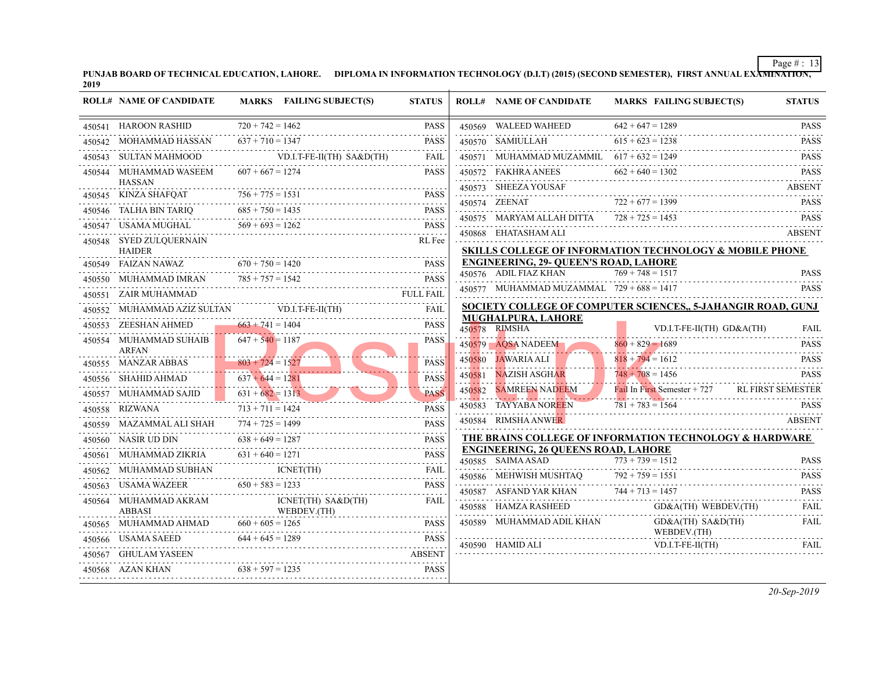| PUNJAB BOARD OF TECHNICAL EDUCATION, LAHORE. | DIPLOMA IN INFORMATION TECHNOLOGY (D.I.T) (2015) (SECOND SEMESTER), |
|----------------------------------------------|---------------------------------------------------------------------|
| 2019                                         |                                                                     |

|        | <b>ROLL# NAME OF CANDIDATE</b>           |                                      | MARKS FAILING SUBJECT(S)          | <b>STATUS</b> |        | <b>ROLL# NAME OF CANDIDATE</b>                                  | <b>MARKS FAIL</b>                                                     |
|--------|------------------------------------------|--------------------------------------|-----------------------------------|---------------|--------|-----------------------------------------------------------------|-----------------------------------------------------------------------|
|        | 450541 HAROON RASHID                     | $720 + 742 = 1462$                   |                                   | <b>PASS</b>   |        | 450569 WALEED WAHEED                                            | $642 + 647 = 128$                                                     |
|        | 450542 MOHAMMAD HASSAN                   | $637 + 710 = 1347$                   |                                   | <b>PASS</b>   |        | 450570 SAMIULLAH                                                | $615 + 623 = 123$                                                     |
|        | 450543 SULTAN MAHMOOD                    |                                      | $VD.I.T-FE-II(TH) SA&D(TH)$       | <b>FAIL</b>   |        | 450571 MUHAMMAD MUZAMMIL $617 + 632 = 124$                      |                                                                       |
|        | 450544 MUHAMMAD WASEEM<br><b>HASSAN</b>  | $607 + 667 = 1274$                   |                                   | <b>PASS</b>   |        | 450572 FAKHRA ANEES<br>450573 SHEEZA YOUSAF                     | $662 + 640 = 130$                                                     |
|        | 450545 KINZA SHAFQAT                     | $756 + 775 = 1531$                   |                                   | <b>PASS</b>   |        | 450574 ZEENAT                                                   | $722 + 677 = 139$                                                     |
|        | 450546 TALHA BIN TARIQ                   | $685 + 750 = 1435$                   |                                   | <b>PASS</b>   |        | 450575 MARYAM ALLAH DITTA $728 + 725 = 145$                     |                                                                       |
|        | 450547 USAMA MUGHAL                      | $569 + 693 = 1262$                   |                                   | PASS          |        | 450868 EHATASHAM ALI                                            |                                                                       |
|        | 450548 SYED ZULQUERNAIN<br><b>HAIDER</b> |                                      |                                   | RL Fee        |        | <b>SKILLS COLLEGE OF INFORMATION TECHN</b>                      |                                                                       |
|        | 450549 FAIZAN NAWAZ                      | $670 + 750 = 1420$                   |                                   | <b>PASS</b>   |        | <b>ENGINEERING, 29- OUEEN'S ROAD, LAHORI</b>                    |                                                                       |
|        | 450550 MUHAMMAD IMRAN                    | $785 + 757 = 1542$                   |                                   | <b>PASS</b>   |        | 450576 ADIL FIAZ KHAN                                           | $769 + 748 = 151$                                                     |
| 450551 | ZAIR MUHAMMAD                            |                                      |                                   | FULL FAIL     |        | 450577 MUHAMMAD MUZAMMAL $729 + 688 = 141$                      |                                                                       |
|        | 450552 MUHAMMAD AZIZ SULTAN              |                                      | VD.I.T-FE-II(TH)                  | FAIL          |        | <b>SOCIETY COLLEGE OF COMPUTER SCIENC</b>                       |                                                                       |
|        | 450553 ZEESHAN AHMED                     | $663 + 741 = 1404$                   |                                   | PASS          |        | <b>MUGHALPURA, LAHORE</b><br>450578 RIMSHA                      | VD.I.                                                                 |
|        | 450554 MUHAMMAD SUHAIB<br><b>ARFAN</b>   | $647 + 540 = 1187$                   |                                   | <b>PASS</b>   |        | 450579 AQSA NADEEM                                              | $860 + 829 = 168$                                                     |
|        | 450555 MANZAR ABBAS                      | $803 + 724 = 1527$                   |                                   | <b>PASS</b>   | 450580 | JAWARIA ALI                                                     | $818 + 794 = 161$                                                     |
|        | 450556 SHAHID AHMAD                      | . <b>. .</b><br>$637 + 644 = 1281$   |                                   | <b>PASS</b>   | 450581 | NAZISH ASGHAR                                                   | $748 + 708 = 145$<br>. <b>. .</b>                                     |
| 450557 | MUHAMMAD SAJID                           | . <b>. .</b><br>$631 + 682 = 1313$   |                                   | <b>PASS</b>   | 450582 | <b>SAMREEN NADEEM</b>                                           | Fail In First Sem<br>i i i i i i <mark>i i i</mark> i i i i i i i i i |
|        | 450558 RIZWANA                           | . <del>.</del><br>$713 + 711 = 1424$ |                                   | <b>PASS</b>   |        | 450583 TAYYABA NOREEN                                           | $781 + 783 = 156$                                                     |
|        | 450559 MAZAMMAL ALI SHAH                 | $774 + 725 = 1499$                   |                                   | <b>PASS</b>   |        | 450584 RIMSHA ANWER                                             |                                                                       |
|        | 450560 NASIR UD DIN                      | $638 + 649 = 1287$                   |                                   | <b>PASS</b>   |        | THE BRAINS COLLEGE OF INFORMATION T                             |                                                                       |
|        | 450561 MUHAMMAD ZIKRIA                   | $631 + 640 = 1271$                   |                                   | <b>PASS</b>   |        | <b>ENGINEERING, 26 QUEENS ROAD, LAHORE</b><br>450585 SAIMA ASAD | $773 + 739 = 151$                                                     |
|        | 450562 MUHAMMAD SUBHAN                   |                                      | ICNET(TH)                         | FAIL          |        | 450586 MEHWISH MUSHTAQ                                          | $792 + 759 = 155$                                                     |
|        | 450563 USAMA WAZEER                      | $650 + 583 = 1233$                   |                                   | <b>PASS</b>   |        | 450587 ASFAND YAR KHAN                                          | $744 + 713 = 145'$                                                    |
|        | 450564 MUHAMMAD AKRAM<br><b>ABBASI</b>   |                                      | ICNET(TH) SA&D(TH)<br>WEBDEV.(TH) | <b>FAIL</b>   |        | 450588 HAMZA RASHEED                                            | GD&                                                                   |
|        | 450565 MUHAMMAD AHMAD                    | $660 + 605 = 1265$                   |                                   | <b>PASS</b>   |        | 450589 MUHAMMAD ADIL KHAN                                       | GD&                                                                   |
|        | 450566 USAMA SAEED                       | $644 + 645 = 1289$                   |                                   | <b>PASS</b>   |        | 450590 HAMID ALI                                                | <b>WEB</b><br>VD.I                                                    |
|        | 450567 GHULAM YASEEN                     |                                      |                                   | ABSENT        |        |                                                                 |                                                                       |
|        | $638 + 597 = 1235$<br>450568 AZAN KHAN   |                                      |                                   | PASS          |        |                                                                 |                                                                       |
|        |                                          |                                      |                                   |               |        |                                                                 |                                                                       |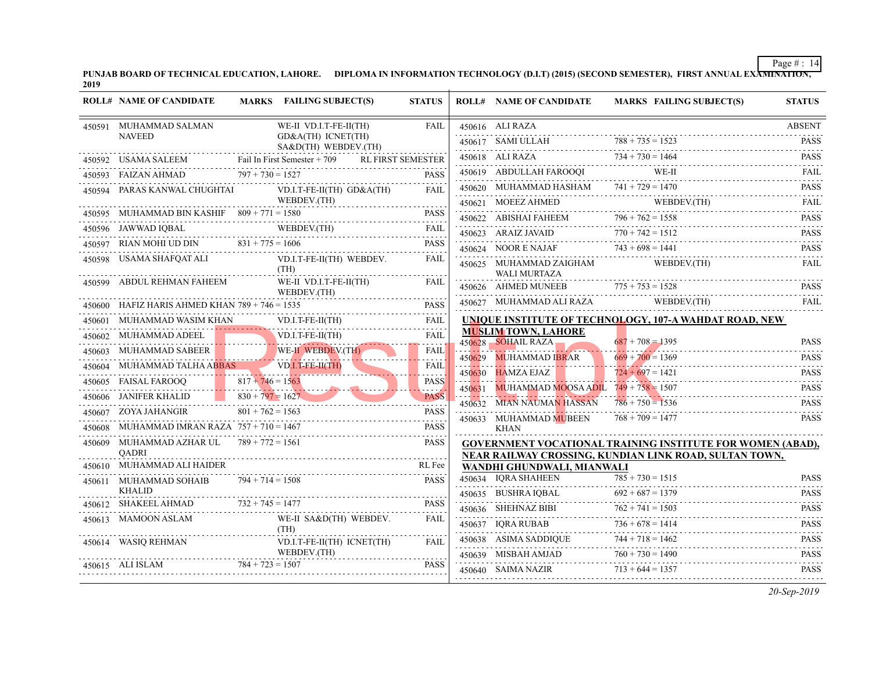|        | <b>ROLL# NAME OF CANDIDATE</b>                       |                    | MARKS FAILING SUBJECT(S)                   | <b>STATUS</b>            |        | <b>ROLL# NAME OF CANDIDATE</b>                                                   | <b>MARKS FAIL</b>                      |
|--------|------------------------------------------------------|--------------------|--------------------------------------------|--------------------------|--------|----------------------------------------------------------------------------------|----------------------------------------|
|        | 450591 MUHAMMAD SALMAN                               |                    | WE-II VD.I.T-FE-II(TH)                     | FAIL                     |        | 450616 ALI RAZA                                                                  |                                        |
|        | <b>NAVEED</b>                                        |                    | GD&A(TH) ICNET(TH)<br>SA&D(TH) WEBDEV.(TH) |                          |        | 450617 SAMI ULLAH<br>450617 SAMI ULLAH $788 + 735 =$                             | $788 + 735 = 1521$                     |
|        | 450592 USAMA SALEEM Fail In First Semester + 709     |                    | RL FIRST SEMESTER                          |                          |        | 450618 ALI RAZA                                                                  | $734 + 730 = 146$                      |
|        | $797 + 730 = 1527$<br>450593 FAIZAN AHMAD            |                    |                                            | <b>PASS</b>              |        | 450619 ABDULLAH FAROOQI                                                          | WE-I                                   |
|        | 450594 PARAS KANWAL CHUGHTAI                         |                    | VD.I.T-FE-II(TH) $GD&A(TH)$                | FAIL                     |        | 450620 MUHAMMAD HASHAM $741 + 729 = 147$                                         |                                        |
|        |                                                      |                    | WEBDEV.(TH)                                |                          |        | 450621 MOEEZ AHMED WEB                                                           |                                        |
|        | 450595 MUHAMMAD BIN KASHIF $809 + 771 = 1580$        |                    |                                            | <b>PASS</b>              |        | 450622 ABISHAI FAHEEM $796 + 762 = 1551$                                         |                                        |
|        | 450596 JAWWAD IQBAL                                  |                    | \L WEBDEV.(TH) FAIL                        |                          |        | WAID $770 + 742 = 1512$<br>450623 ARAIZ JAVAID                                   |                                        |
|        | 450597 RIAN MOHI UD DIN $831 + 775 = 1606$           |                    |                                            | PASS                     |        | 450624 NOOR E NAJAF $743 + 698 = 144$                                            |                                        |
| 450598 | USAMA SHAFQAT ALI                                    |                    | VD.I.T-FE-II(TH) WEBDEV.<br>(TH)           | FAIL                     |        | 450625 MUHAMMAD ZAIGHAM<br>WALI MURTAZA                                          | <b>WEB</b>                             |
|        | 450599 ABDUL REHMAN FAHEEM                           |                    | WE-II VD.I.T-FE-II(TH)<br>WEBDEV.(TH)      | FAIL                     |        | 450626 AHMED MUNEEB                                                              | $775 + 753 = 1525$                     |
|        | 450600 HAFIZ HARIS AHMED KHAN $789 + 746 = 1535$     |                    |                                            | <b>PASS</b>              |        | 450627 MUHAMMAD ALI RAZA                                                         | <b>WEB</b>                             |
|        | 450601 MUHAMMAD WASIM KHAN                           |                    | VD.I.T-FE-II(TH)                           | FAIL                     |        | UNIQUE INSTITUTE OF TECHNOLOGY, 107-4                                            |                                        |
|        | 450602 MUHAMMAD ADEEL                                |                    | $VD.I.T-FE-II(TH)$                         | FAIL                     |        | <b>MUSLIM TOWN, LAHORE</b><br>450628 SOHAIL RAZA                                 | $687 + 708 = 139$                      |
|        | 450603 MUHAMMAD SABEER                               |                    | WE-II WEBDEV.(TH)                          | <b>FAIL</b>              |        |                                                                                  | $669 + 700 = 136$                      |
|        | 450604 MUHAMMAD TALHA ABBAS                          |                    | $VD.I.T-FE-H(TH)$                          | .<br><b>FAIL</b>         | 450629 | MUHAMMAD I <mark>BR</mark> AR<br>450630 HAMZA EJAZ                               | . <b>.</b><br>$724 + 697 = 142$        |
|        | 450605 FAISAL FAROOQ                                 | $817 + 746 = 1563$ |                                            | <b>PASS</b>              | 450631 | MUHAMMAD MOOSA ADIL $749 + 758 = 1501$                                           |                                        |
|        | 450606 JANIFER KHALID 830 + $\overline{797} = 1627$  |                    |                                            | $- - - -$<br><b>PASS</b> |        | 450632 MIAN NAUMAN HASSAN                                                        | $786 + 750 = 153$                      |
|        | 450607 ZOYA JAHANGIR                                 | $801 + 762 = 1563$ |                                            | <b>PASS</b>              |        | 450633 MUHAMMAD MUBEEN                                                           | $768 + 709 = 147'$                     |
| 450608 | MUHAMMAD IMRAN RAZA $757 + 710 = 1467$               |                    |                                            | PASS                     |        | KHAN                                                                             |                                        |
| 450609 | MUHAMMAD AZHAR UL $789 + 772 = 1561$<br><b>OADRI</b> |                    |                                            | <b>PASS</b>              |        | <b>GOVERNMENT VOCATIONAL TRAINING INS</b><br>NEAR RAILWAY CROSSING. KUNDIAN LINK |                                        |
|        | 450610 MUHAMMAD ALI HAIDER                           |                    |                                            | RL Fee                   |        | WANDHI GHUNDWALI, MIANWALI                                                       |                                        |
|        | 450611 MUHAMMAD SOHAIB<br><b>KHALID</b>              | $794 + 714 = 1508$ |                                            | <b>PASS</b>              |        | 450634 IQRA SHAHEEN                                                              | $785 + 730 = 151$<br>$692 + 687 = 137$ |
|        | 450612 SHAKEEL AHMAD                                 | $732 + 745 = 1477$ |                                            | <b>PASS</b>              |        | 450635 BUSHRA IQBAL<br>450636 SHEHNAZ BIBI                                       | $762 + 741 = 1501$                     |
|        | 450613 MAMOON ASLAM                                  |                    | WE-II SA&D(TH) WEBDEV.                     | FAIL                     |        | 450636 SHEHNAZ BIBI $762 + 741 = 1$<br>450637 IORA RUBAB                         | $736 + 678 = 141$                      |
|        | 450614 WASIQ REHMAN                                  |                    | (TH)<br>VD.I.T-FE-II(TH) ICNET(TH)         | FAIL                     |        | 450638 ASIMA SADDIQUE                                                            | $744 + 718 = 1461$                     |
|        |                                                      |                    | WEBDEV.(TH)                                |                          |        | 450639 MISBAH AMJAD                                                              | $760 + 730 = 149$                      |
|        | 450615 ALI ISLAM                                     | $784 + 723 = 1507$ |                                            | <b>PASS</b>              |        | 450640 SAIMA NAZIR                                                               | $713 + 644 = 1351$                     |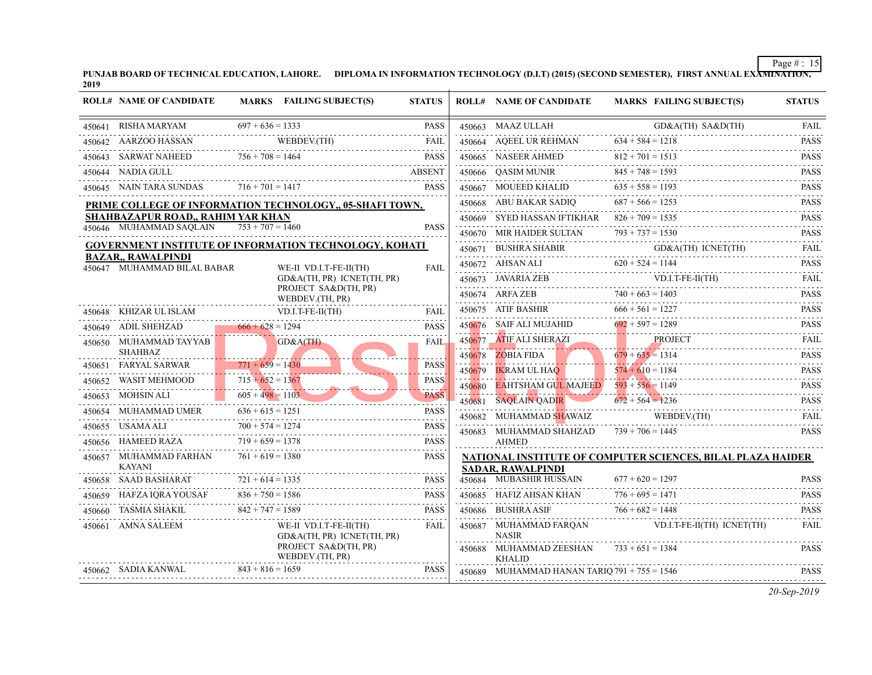|        | <b>ROLL# NAME OF CANDIDATE</b>                           |                    | MARKS FAILING SUBJECT(S)                                      | <b>STATUS</b>    |        | <b>ROLL# NAME OF CANDIDATE</b>                                          | <b>MARKS FAIL</b>         |
|--------|----------------------------------------------------------|--------------------|---------------------------------------------------------------|------------------|--------|-------------------------------------------------------------------------|---------------------------|
|        | 450641 RISHA MARYAM                                      | $697 + 636 = 1333$ |                                                               | <b>PASS</b>      |        | 450663 MAAZ ULLAH                                                       | $GD\&$                    |
|        | 450642 AARZOO HASSAN                                     |                    | WEBDEV.(TH)<br>THASSAN WEBDEV.(TH) FAIL                       | <b>FAIL</b>      |        | 450664 AQEEL UR REHMAN                                                  | $634 + 584 = 1215$        |
|        | 450643 SARWAT NAHEED                                     |                    | VAT NAHEED 756 + 708 = 1464 PASS                              | <b>PASS</b>      |        | 450665 NASEER AHMED                                                     | $812 + 701 = 1511$        |
|        | 450644 NADIA GULL                                        |                    |                                                               | <b>ABSENT</b>    |        | 450666 QASIM MUNIR                                                      | $845 + 748 = 159$         |
|        | 450645 NAIN TARA SUNDAS $716 + 701 = 1417$               |                    |                                                               | <b>PASS</b>      |        | 450667 MOUEED KHALID $635 + 558 = 1$                                    | $635 + 558 = 1191$        |
|        |                                                          |                    | PRIME COLLEGE OF INFORMATION TECHNOLOGY., 05-SHAFI TOWN,      |                  |        | 450668 ABU BAKAR SADIQ                                                  | $687 + 566 = 125$         |
|        | SHAHBAZAPUR ROAD., RAHIM YAR KHAN                        |                    |                                                               |                  |        | 450669 SYED HASSAN IFTIKHAR $826 + 709 = 153$ :                         |                           |
|        | 450646 MUHAMMAD SAOLAIN                                  | $753 + 707 = 1460$ |                                                               | <b>PASS</b>      |        | 450670 MIR HAIDER SULTAN                                                | $793 + 737 = 153$         |
|        |                                                          |                    | <b>GOVERNMENT INSTITUTE OF INFORMATION TECHNOLOGY, KOHATI</b> |                  |        | 450671 BUSHRA SHABIR                                                    | $GD\&$                    |
|        | <b>BAZAR,, RAWALPINDI</b><br>450647 MUHAMMAD BILAL BABAR |                    | WE-II VD.I.T-FE-II(TH)                                        | FAIL             |        | 450672 AHSAN ALI $620 + 524 = 1144$<br>450672 AHSAN ALI                 |                           |
|        |                                                          |                    | GD&A(TH, PR) ICNET(TH, PR)                                    |                  |        | 450673 JAVARIA ZEB                                                      | VD.I.                     |
|        |                                                          |                    | PROJECT SA&D(TH, PR)<br>WEBDEV.(TH, PR)                       |                  |        | 450674 ARFA ZEB 740 + 663 = 140                                         |                           |
|        |                                                          |                    |                                                               |                  |        | 450675 ATIF BASHIR                                                      | $666 + 561 = 122'$        |
|        | 450649 ADIL SHEHZAD 666 + 628 = 1294                     |                    |                                                               | <b>PASS</b>      |        | 450676 SAIF ALI MUJAHID                                                 | $692 + 597 = 1289$        |
|        | 450650 MUHAMMAD TAYYAB<br><b>SHAHBAZ</b>                 |                    | GD&A(TH)                                                      | <b>FAIL</b>      | 450677 | ATIF ALI SHERAZI                                                        | PROJ<br>$679 + 635 = 131$ |
|        | 450651 FARYAL SARWAR                                     | $771 + 659 = 1430$ |                                                               | <b>PASS</b>      | 450679 | $450678$ ZOBIA FIDA<br>IKRAM UL HAO                                     | $574 + 610 = 1184$        |
| 450652 | WASIT MEHMOOD                                            | $715 + 652 = 1367$ |                                                               | .<br><b>PASS</b> |        | $450680$ EAHTSHAM GUL MAJEED $593 + 556 = 1149$                         | .                         |
| 450653 | $605 + 498 = 1103$<br>MOHSIN ALI                         | . <b>. .</b>       |                                                               | <b>PASS</b>      |        | 450681 SAQLAIN QADIR                                                    | $672 + 564 = 123$         |
|        |                                                          |                    | 450654 MUHAMMAD UMER $636 + 615 = 1251$                       | <b>PASS</b>      |        | 450682 MUHAMMAD SHAWAIZ                                                 | <b>WEB</b>                |
| 450655 | USAMA ALI                                                | $700 + 574 = 1274$ |                                                               | <b>PASS</b>      |        | 450683 MUHAMMAD SHAHZAD $739 + 706 = 144$                               |                           |
|        | 450656 HAMEED RAZA                                       | $719 + 659 = 1378$ |                                                               | <b>PASS</b>      |        | <b>AHMED</b>                                                            |                           |
| 450657 | MUHAMMAD FARHAN<br>KAYANI                                | $761 + 619 = 1380$ |                                                               | <b>PASS</b>      |        | <b>NATIONAL INSTITUTE OF COMPUTER SCIEI</b><br><b>SADAR, RAWALPINDI</b> |                           |
|        | 450658 SAAD BASHARAT                                     | $721 + 614 = 1335$ |                                                               | <b>PASS</b>      |        | 450684 MUBASHIR HUSSAIN                                                 | $677 + 620 = 129'$        |
| 450659 | HAFZA IQRA YOUSAF $836 + 750 = 1586$                     |                    |                                                               | <b>PASS</b>      |        | 450685 HAFIZ AHSAN KHAN                                                 | $776 + 695 = 147$         |
| 450660 | TASMIA SHAKIL                                            | $842 + 747 = 1589$ |                                                               | <b>PASS</b>      |        | 450686 BUSHRA ASIF                                                      | $766 + 682 = 1443$        |
|        | 450661 AMNA SALEEM                                       |                    | WE-II VD.I.T-FE-II(TH)<br>GD&A(TH, PR) ICNET(TH, PR)          | FAIL             |        | 450687 MUHAMMAD FARQAN<br><b>NASIR</b>                                  | VD.I.                     |
|        |                                                          |                    | PROJECT SA&D(TH, PR)<br>WEBDEV.(TH, PR)                       |                  |        | 450688 MUHAMMAD ZEESHAN<br><b>KHALID</b>                                | $733 + 651 = 138$         |
|        | 450662 SADIA KANWAL                                      | $843 + 816 = 1659$ |                                                               | <b>PASS</b>      |        | 450689 MUHAMMAD HANAN TARIO 791 + 755 = 154                             |                           |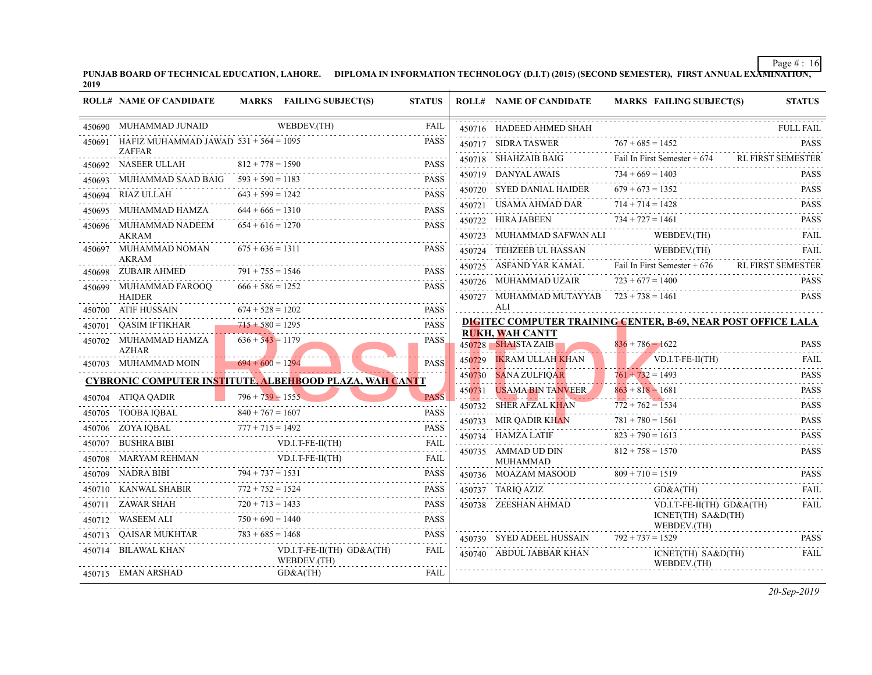| PUNJAB BOARD OF TECHNICAL EDUCATION, LAHORE. | DIPLOMA IN INFORMATION TECHNOLOGY (D.I.T) (2015) (SECOND SEMESTER), |
|----------------------------------------------|---------------------------------------------------------------------|
| 2019                                         |                                                                     |

|        | <b>ROLL# NAME OF CANDIDATE</b>                           |                         | MARKS FAILING SUBJECT(S)                                       | <b>STATUS</b> |        | <b>ROLL# NAME OF CANDIDATE</b>                  | <b>MARKS FAIL</b>               |
|--------|----------------------------------------------------------|-------------------------|----------------------------------------------------------------|---------------|--------|-------------------------------------------------|---------------------------------|
|        | 450690 MUHAMMAD JUNAID                                   |                         | WEBDEV.(TH)                                                    | FAIL          |        | 450716 HADEED AHMED SHAH                        |                                 |
| 450691 | HAFIZ MUHAMMAD JAWAD $531 + 564 = 1095$<br><b>ZAFFAR</b> |                         |                                                                | <b>PASS</b>   |        | 450717 SIDRA TASWER                             | $767 + 685 = 1452$              |
|        | 450692 NASEER ULLAH                                      | $812 + 778 = 1590$      |                                                                | <b>PASS</b>   |        | 450718 SHAHZAIB BAIG                            | Fail In First Sem               |
| 450693 | MUHAMMAD SAAD BAIG                                       | $593 + 590 = 1183$      |                                                                | PASS          |        | 450719 DANYAL AWAIS                             | $734 + 669 = 140$               |
|        | 450694 RIAZ ULLAH                                        | $643 + 599 = 1242$      |                                                                | <b>PASS</b>   |        | 450720 SYED DANIAL HAIDER                       | $679 + 673 = 135$               |
| 450695 | MUHAMMAD HAMZA                                           | $644 + 666 = 1310$      |                                                                | <b>PASS</b>   |        | 450721 USAMA AHMAD DAR                          | $714 + 714 = 142$               |
|        | 450696 MUHAMMAD NADEEM                                   | $654 + 616 = 1270$      |                                                                | <b>PASS</b>   |        | 450722 HIRA JABEEN                              | $734 + 727 = 146$               |
| 450697 | <b>AKRAM</b><br>MUHAMMAD NOMAN                           | $675 + 636 = 1311$      |                                                                | <b>PASS</b>   | 450724 | 450723 MUHAMMAD SAFWAN ALI<br>TEHZEEB UL HASSAN | <b>WEB</b><br>WEB               |
|        | AKRAM                                                    | $791 + 755 = 1546$      |                                                                |               |        | 450725 ASFAND YAR KAMAL                         | Fail In First Sem               |
|        | 450698 ZUBAIR AHMED                                      | $666 + 586 = 1252$      |                                                                | <b>PASS</b>   |        | 450726 MUHAMMAD UZAIR                           | $723 + 677 = 140$               |
|        | 450699 MUHAMMAD FAROOQ<br><b>HAIDER</b>                  |                         |                                                                | <b>PASS</b>   |        | 450727 MUHAMMAD MUTAYYAB $723 + 738 = 146$      |                                 |
|        | 450700 ATIF HUSSAIN                                      | $674 + 528 = 1202$      |                                                                | <b>PASS</b>   |        | ALI                                             |                                 |
|        | 450701 QASIM IFTIKHAR                                    | $715 + 580 = 1295$      |                                                                | PASS          |        | DIGITEC COMPUTER TRAINING CENTER, B             |                                 |
|        | 450702 MUHAMMAD HAMZA<br><b>AZHAR</b>                    | $636 + 543 = 1179$      |                                                                | PASS.         |        | <b>RUKH, WAH CANTT</b><br>450728 SHAISTA ZAIB   | $836 + 786 = 1621$              |
|        | 450703 MUHAMMAD MOIN                                     | $694 + 600 = 1294$      |                                                                | <b>PASS</b>   | 450729 | <b>IKRAM ULLAH KHAN</b>                         | VD.I                            |
|        |                                                          |                         | <u>CYBRONIC COMPUTER INSTITUTE, ALBEHBOOD PLAZA, WAH CANTT</u> |               | 450730 | SANA ZULFIQAR                                   | $761 + 732 = 149$<br>. <u>.</u> |
|        | 450704 ATIQA QADIR                                       | $796 + 759 = 1555$      |                                                                | <b>PASS</b>   | 450731 | <b>USAMA BIN TANVEER</b>                        | $863 + 818 = 168$               |
|        | 450705 TOOBA IQBAL                                       | $840 + 767 = 1607$      |                                                                | <b>PASS</b>   | 450732 | <b>SHER AFZAL KHAN</b>                          | $772 + 762 = 153$<br>.          |
|        | 450706 ZOYA IQBAL                                        | $777 + 715 = 1492$      |                                                                | PASS          | 450733 | MIR QADIR KHAN                                  | $781 + 780 = 156$               |
|        | 450707 BUSHRA BIBI                                       |                         | $VD.I.T-FE-II(TH)$                                             | FAIL          |        | 450734 HAMZA LATIF                              | $823 + 790 = 161$               |
|        | 450708 MARYAM REHMAN                                     |                         | VD.I.T-FE-II(TH)                                               | <b>FAIL</b>   |        | 450735 AMMAD UD DIN<br><b>MUHAMMAD</b>          | $812 + 758 = 157$               |
|        | 450709 NADRA BIBI                                        | $794 + 737 = 1531$<br>. |                                                                | PASS          |        | 450736 MOAZAM MASOOD                            | $809 + 710 = 1519$              |
|        | 450710 KANWAL SHABIR                                     | $772 + 752 = 1524$      |                                                                | PASS          |        | 450737 TARIQ AZIZ                               | GD&                             |
|        | 450711 ZAWAR SHAH                                        | $720 + 713 = 1433$      |                                                                | <b>PASS</b>   |        | 450738 ZEESHAN AHMAD                            | VD.I.                           |
|        | 450712 WASEEM ALI                                        | $750 + 690 = 1440$      |                                                                | <b>PASS</b>   |        |                                                 | <b>ICNE</b><br><b>WEB</b>       |
| 450713 | QAISAR MUKHTAR                                           | $783 + 685 = 1468$      |                                                                | <b>PASS</b>   |        | 450739 SYED ADEEL HUSSAIN                       | $792 + 737 = 152$               |
| 450714 | BILAWAL KHAN                                             |                         | $VD.I.T-FE-II(TH)$ $GD&A(TH)$<br>WEBDEV.(TH)                   | FAIL          |        | 450740 ABDUL JABBAR KHAN                        | <b>ICNE</b><br>WEB              |
|        | 450715 EMAN ARSHAD                                       |                         | GD&A(TH)                                                       | FAIL          |        |                                                 |                                 |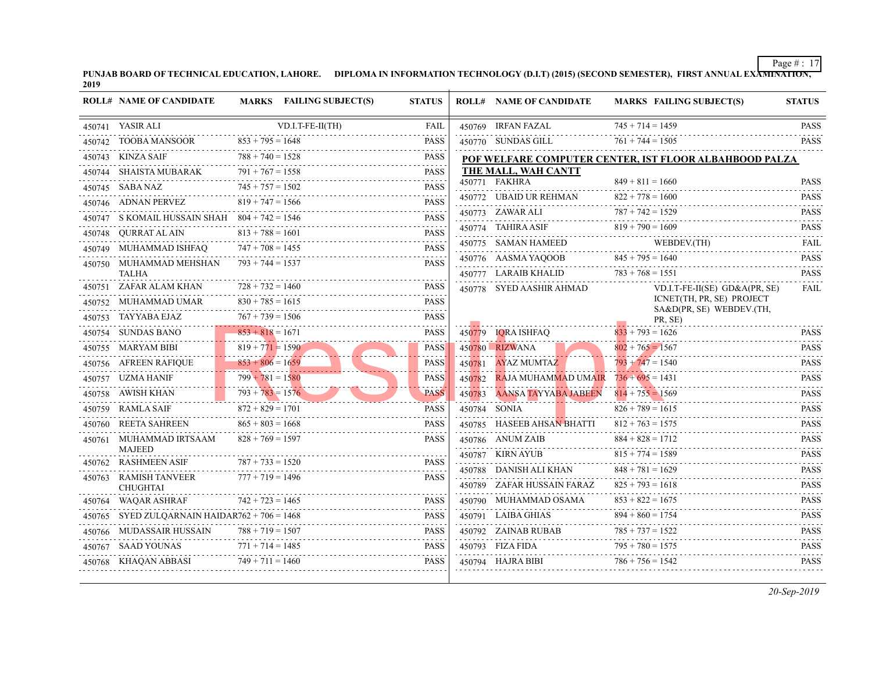| PUNJAB BOARD OF TECHNICAL EDUCATION, LAHORE. | DIPLOMA IN INFORMATION TECHNOLOGY (D.I.T) (2015) (SECOND SEMESTER), |
|----------------------------------------------|---------------------------------------------------------------------|
| 2019                                         |                                                                     |

|        | <b>ROLL# NAME OF CANDIDATE</b>                  |                                    | MARKS FAILING SUBJECT(S) | <b>STATUS</b>    |        | <b>ROLL# NAME OF CANDIDATE</b>                                             | <b>MARKS FAIL</b>                      |
|--------|-------------------------------------------------|------------------------------------|--------------------------|------------------|--------|----------------------------------------------------------------------------|----------------------------------------|
|        |                                                 |                                    |                          |                  |        |                                                                            |                                        |
|        | 450741 YASIR ALI                                |                                    | $VD.I.T-FE-II(TH)$       | FAIL             |        | 450769 IRFAN FAZAL                                                         | $745 + 714 = 145$                      |
|        | 450742 TOOBA MANSOOR                            | $853 + 795 = 1648$                 |                          | PASS             |        | 450770 SUNDAS GILL                                                         | $761 + 744 = 150$                      |
|        | 450743 KINZA SAIF                               | $788 + 740 = 1528$                 |                          | <b>PASS</b>      |        | POF WELFARE COMPUTER CENTER, IST FL                                        |                                        |
|        | 450744 – SHAISTA MUBARAK                        | $791 + 767 = 1558$                 |                          | <b>PASS</b>      |        | THE MALL, WAH CANTT                                                        |                                        |
|        | 450745 SABA NAZ                                 | $745 + 757 = 1502$                 |                          | <b>PASS</b>      |        | 450771 FAKHRA                                                              | $849 + 811 = 166$                      |
|        | 450746 ADNAN PERVEZ                             | $819 + 747 = 1566$                 |                          | <b>PASS</b>      |        | 450772 UBAID UR REHMAN                                                     | $822 + 778 = 160$                      |
|        | 450747 S KOMAIL HUSSAIN SHAH $804 + 742 = 1546$ |                                    |                          | <b>PASS</b>      |        | 450773 ZAWAR ALI                                                           | $787 + 742 = 152$<br>.                 |
|        | 450748 QURRAT AL AIN                            | $813 + 788 = 1601$                 |                          | <b>PASS</b>      |        | 450774 TAHIRA ASIF                                                         | $819 + 790 = 160$                      |
|        | 450749 MUHAMMAD ISHFAQ                          | $747 + 708 = 1455$                 |                          | <b>PASS</b>      |        | 450775 SAMAN HAMEED                                                        | WEB                                    |
|        | 450750 MUHAMMAD MEHSHAN                         | $793 + 744 = 1537$                 |                          | .<br><b>PASS</b> |        | 450776 AASMA YAQOOB<br>450777 LARAIB KHALID                                | $845 + 795 = 164$<br>$783 + 768 = 155$ |
|        | <b>TALHA</b><br>450751 ZAFAR ALAM KHAN          | $728 + 732 = 1460$                 |                          | PASS             |        |                                                                            | VD.I.                                  |
|        | 450752 MUHAMMAD UMAR                            | $830 + 785 = 1615$                 |                          | <b>PASS</b>      |        | 450778 SYED AASHIR AHMAD                                                   | <b>ICNE</b>                            |
|        | 450753 TAYYABA EJAZ                             | $767 + 739 = 1506$                 |                          | <b>PASS</b>      |        |                                                                            | SA&l<br>PR, S                          |
|        | 450754 SUNDAS BANO                              | . <b>. .</b><br>$853 + 818 = 1671$ |                          | <b>PASS</b>      |        | 450779 IQRA ISHFAQ                                                         | $833 + 793 = 162$                      |
|        | 450755 MARYAM BIBI                              | $819 + 771 = 1590$                 |                          | <b>PASS</b>      |        | 450780 RIZWANA                                                             | $802 + 765 = 156$                      |
|        | 450756 AFREEN RAFIOUE                           | $853 + 806 = 1659$                 |                          | <b>PASS</b>      |        | 450781 AYAZ MUMTAZ                                                         | <u>.</u><br>$793 + 747 = 154$          |
|        | 450757 UZMA HANIF                               | $799 + 781 = 1580$                 |                          | <b>PASS</b>      | 450782 | RAJA MUHAMMAD UMAIR $736 + 695 = 143$                                      |                                        |
|        | 450758 AWISH KHAN                               | . <b>.</b><br>$793 + 783 = 1576$   |                          | PASS             |        | 450783 AANSA TAYYABA JABEEN                                                | $814 + 755 = 1569$                     |
|        | 450759 RAMLA SAIF                               | $872 + 829 = 1701$                 |                          | <b>PASS</b>      |        | <u> La Barbaria de la Barbaria de la Barbaria de la Ba</u><br>450784 SONIA | $826 + 789 = 161$                      |
|        | 450760 REETA SAHREEN                            | $865 + 803 = 1668$                 |                          | <b>PASS</b>      |        | 450785 HASEEB AHSAN BHATTI                                                 | $812 + 763 = 1575$                     |
| 450761 | MUHAMMAD IRTSAAM<br><b>MAJEED</b>               | $828 + 769 = 1597$                 |                          | <b>PASS</b>      |        | 450786 ANUM ZAIB                                                           | $884 + 828 = 1711$                     |
|        | 450762 RASHMEEN ASIF                            | $787 + 733 = 1520$                 |                          | PASS             |        | 450787 KIRN AYUB                                                           | $815 + 774 = 158$                      |
|        | 450763 RAMISH TANVEER                           | $777 + 719 = 1496$                 |                          | <b>PASS</b>      |        | 450788 DANISH ALI KHAN                                                     | $848 + 781 = 162$                      |
|        | <b>CHUGHTAI</b>                                 |                                    |                          |                  |        | 450789 ZAFAR HUSSAIN FARAZ                                                 | $825 + 793 = 1613$                     |
|        | 450764 WAQAR ASHRAF                             | $742 + 723 = 1465$                 |                          | <b>PASS</b>      |        | 450790 MUHAMMAD OSAMA                                                      | $853 + 822 = 1675$                     |
|        | 450765 SYED ZULQARNAIN HAIDAR762 + 706 = 1468   |                                    |                          | <b>PASS</b>      |        | 450791 LAIBA GHIAS                                                         | $894 + 860 = 175$                      |
|        | 450766 MUDASSAIR HUSSAIN                        | $788 + 719 = 1507$                 |                          | PASS             |        | 450792 ZAINAB RUBAB                                                        | $785 + 737 = 1521$                     |
|        | 450767 SAAD YOUNAS                              | $771 + 714 = 1485$                 |                          | <b>PASS</b>      |        | 450793 FIZA FIDA                                                           | $795 + 780 = 1575$                     |
|        | 450768 KHAQAN ABBASI                            | $749 + 711 = 1460$                 |                          | PASS             |        | 450794 HAJRA BIBI                                                          | $786 + 756 = 1541$                     |
|        |                                                 |                                    |                          |                  |        |                                                                            |                                        |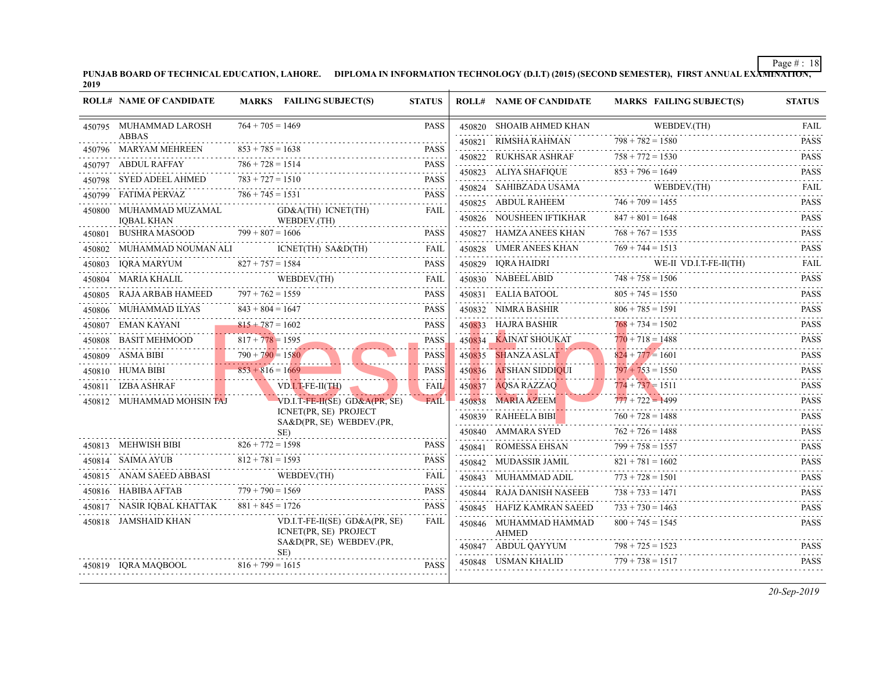| PUNJAB BOARD OF TECHNICAL EDUCATION, LAHORE. | DIPLOMA IN INFORMATION TECHNOLOGY (D.I.T) (2015) (SECOND SEMESTER), |
|----------------------------------------------|---------------------------------------------------------------------|
| 2019                                         |                                                                     |

|        | <b>ROLL# NAME OF CANDIDATE</b>                  |                    | MARKS FAILING SUBJECT(S)                                   | <b>STATUS</b>    |        | <b>ROLL# NAME OF CANDIDATE</b>         | <b>MARKS FAIL</b>                                           |
|--------|-------------------------------------------------|--------------------|------------------------------------------------------------|------------------|--------|----------------------------------------|-------------------------------------------------------------|
|        | 450795 MUHAMMAD LAROSH                          | $764 + 705 = 1469$ |                                                            | <b>PASS</b>      |        | 450820 SHOAIB AHMED KHAN               | <b>WEB</b>                                                  |
| .      | <b>ABBAS</b><br>450796 MARYAM MEHREEN           | $853 + 785 = 1638$ |                                                            | <b>PASS</b>      |        | 450821 RIMSHA RAHMAN                   | $798 + 782 = 158$                                           |
|        | 450797 ABDUL RAFFAY                             | $786 + 728 = 1514$ | MEHREEN $853 + 785 = 1638$ PASS                            | <b>PASS</b>      |        | 450822 RUKHSAR ASHRAF                  | $758 + 772 = 153$                                           |
|        | .<br>450798 SYED ADEEL AHMED $783 + 727 = 1510$ |                    |                                                            | <b>PASS</b>      |        | 450823 ALIYA SHAFIQUE                  | $853 + 796 = 164$                                           |
|        | 450799 FATIMA PERVAZ                            | $786 + 745 = 1531$ |                                                            | <b>PASS</b>      |        | 450824 – SAHIBZADA USAMA               | <b>WEB</b>                                                  |
| 450800 | MUHAMMAD MUZAMAL                                |                    | GD&A(TH) ICNET(TH)                                         | FAIL             |        | 450825 ABDUL RAHEEM                    | $746 + 709 = 145$                                           |
|        | <b>IOBAL KHAN</b>                               |                    | WEBDEV.(TH)                                                |                  |        | 450826 NOUSHEEN IFTIKHAR               | $847 + 801 = 1645$                                          |
| 450801 | BUSHRA MASOOD                                   | $799 + 807 = 1606$ |                                                            | <b>PASS</b>      |        | 450827 HAMZA ANEES KHAN                | $768 + 767 = 153$                                           |
|        |                                                 |                    |                                                            |                  |        | 450828 UMER ANEES KHAN                 | $769 + 744 = 1511$                                          |
|        | 450803 IQRA MARYUM                              |                    | $1 \t 827 + 757 = 1584$ PASS                               | <b>PASS</b>      |        | 450829 IQRA HAIDRI                     | WE-I                                                        |
|        | 450804 MARIA KHALIL                             |                    | LIL WEBDEV.(TH) FAIL                                       |                  |        | 450830 NABEEL ABID                     | $748 + 758 = 150$                                           |
|        | 450805 RAJA ARBAB HAMEED $797 + 762 = 1559$     |                    |                                                            | <b>PASS</b>      |        | 450831 EALIA BATOOL                    | $805 + 745 = 155$                                           |
|        | 450806 MUHAMMAD ILYAS                           | $843 + 804 = 1647$ |                                                            | <b>PASS</b>      |        | 450832 NIMRA BASHIR                    | $806 + 785 = 159$                                           |
|        | 450807 EMAN KAYANI                              | $815 + 787 = 1602$ |                                                            | <b>PASS</b>      |        | 450833 HAJRA BASHIR                    | $768 + 734 = 150$                                           |
|        | 450808 BASIT MEHMOOD                            | $817 + 778 = 1595$ |                                                            | <b>PASS</b>      | 450834 | KAINAT SHOUKAT                         | $770 + 718 = 1485$<br>. <del>.</del> <u>.</u>               |
|        | 450809 ASMA BIBI 790 + 790 = 1580               |                    |                                                            | <b>PASS</b><br>. | 450835 | <b>SHANZA ASLAT</b>                    | $824 + 777 = 160$<br>. <i>.</i> .                           |
|        | $853 + 816 = 1669$<br>450810 HUMA BIBI          |                    |                                                            | <b>PASS</b>      |        | 450836 AFSHAN SIDDIOUI                 | $797 + 753 = 1550$<br>and the second contract of the second |
|        | 450811 IZBA ASHRAF                              |                    | VD.I.T-FE-II(TH)                                           | FAIL             | 450837 | AQSA RAZZAQ                            | $774 + 737 = 151$                                           |
|        | 450812 MUHAMMAD MOHSIN TAJ                      |                    | VD.I.T-FE-II(SE) GD&A(PR, SE)                              | <b>FAIL</b>      |        | 450838 MARIA AZEEM                     | $777 + 722 = 149$                                           |
|        |                                                 |                    | ICNET(PR, SE) PROJECT<br>SA&D(PR, SE) WEBDEV.(PR,          |                  |        | 450839 RAHEELA BIBI                    | $760 + 728 = 1485$                                          |
|        |                                                 |                    | SE)                                                        |                  |        | 450840 AMMARA SYED                     | $762 + 726 = 1481$                                          |
|        |                                                 |                    | 450813 MEHWISH BIBI $826 + 772 = 1598$ PASS                | <b>PASS</b>      |        | 450841 ROMESSA EHSAN                   | $799 + 758 = 155'$                                          |
|        |                                                 |                    | 450814 SAIMA AYUB 812 + 781 = 1593 PASS                    |                  |        | 450842 MUDASSIR JAMIL                  | $821 + 781 = 1602$                                          |
|        |                                                 |                    | 450815 ANAM SAEED ABBASI WEBDEV.(TH)                       | FAIL             |        | 450843 MUHAMMAD ADIL                   | $773 + 728 = 150$                                           |
|        | $779 + 790 = 1569$<br>450816 HABIBA AFTAB       |                    |                                                            | <b>PASS</b>      |        | 450844 RAJA DANISH NASEEB              | $738 + 733 = 147$                                           |
|        | 450817 NASIR IQBAL KHATTAK                      | $881 + 845 = 1726$ |                                                            | <b>PASS</b>      |        | 450845 HAFIZ KAMRAN SAEED              | $733 + 730 = 1461$                                          |
|        | 450818 JAMSHAID KHAN                            |                    | $VD.I.T-FE-II(SE)$ $GD&A(PR, SE)$<br>ICNET(PR, SE) PROJECT | FAIL             |        | 450846 MUHAMMAD HAMMAD<br><b>AHMED</b> | $800 + 745 = 154$                                           |
|        |                                                 |                    | SA&D(PR, SE) WEBDEV.(PR,<br>SE)                            |                  |        | 450847 ABDUL QAYYUM                    | $798 + 725 = 152$                                           |
|        | 450819 IQRA MAQBOOL                             | $816 + 799 = 1615$ |                                                            | <b>PASS</b>      |        | 450848 USMAN KHALID                    | $779 + 738 = 151'$                                          |
|        |                                                 |                    |                                                            |                  |        |                                        |                                                             |